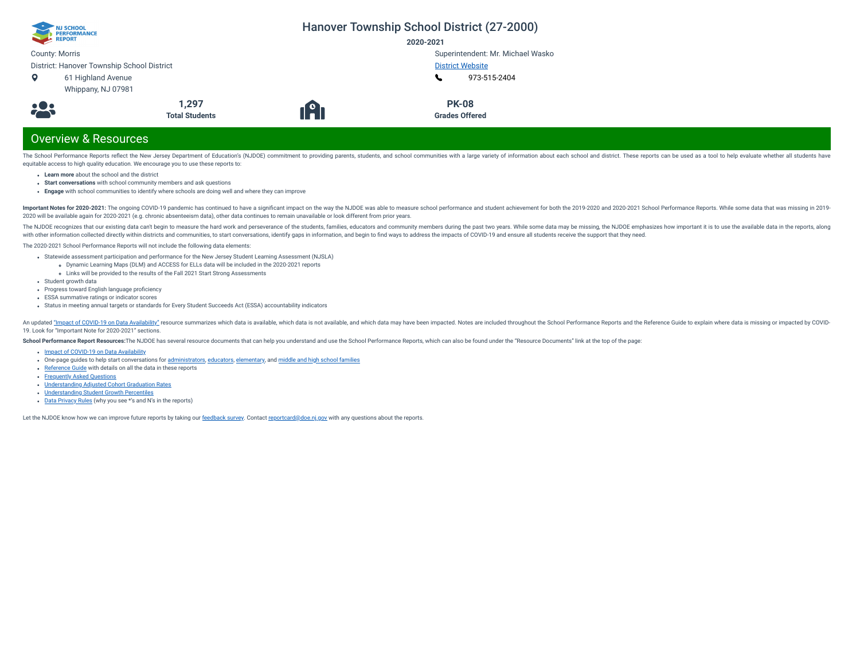| NJ SCHOOL<br>PERFORMANCE<br>REPORT            |                                |    | Hanover Township School District (27-2000)<br>2020-2021 |
|-----------------------------------------------|--------------------------------|----|---------------------------------------------------------|
| <b>County: Morris</b>                         |                                |    | Superintendent: Mr. Michael Wasko                       |
| District: Hanover Township School District    |                                |    | <b>District Website</b>                                 |
| 61 Highland Avenue<br>o<br>Whippany, NJ 07981 |                                |    | 973-515-2404                                            |
| <b>:23</b>                                    | 1,297<br><b>Total Students</b> | 19 | <b>PK-08</b><br><b>Grades Offered</b>                   |
| <b>Overview &amp; Resources</b>               |                                |    |                                                         |

The School Performance Reports reflect the New Jersey Department of Education's (NJDOE) commitment to providing parents, students, and school communities with a large variety of information about each school and district. equitable access to high quality education. We encourage you to use these reports to:

- **Learn more** about the school and the district
- **Start conversations** with school community members and ask questions
- **Engage** with school communities to identify where schools are doing well and where they can improve

Important Notes for 2020-2021: The ongoing COVID-19 pandemic has continued to have a significant impact on the way the NJDOE was able to measure school performance and student achievement for both the 2019-2020 and 2020-20 2020 will be available again for 2020-2021 (e.g. chronic absenteeism data), other data continues to remain unavailable or look different from prior years.

The NJDOE recognizes that our existing data can't begin to measure the hard work and perseverance of the students, families, educators and community members during the past two years. While some data may be missing, the NJ with other information collected directly within districts and communities, to start conversations, identify gaps in information, and begin to find ways to address the impacts of COVID-19 and ensure all students receive th

The 2020-2021 School Performance Reports will not include the following data elements:

- Statewide assessment participation and performance for the New Jersey Student Learning Assessment (NJSLA)
	- Dynamic Learning Maps (DLM) and ACCESS for ELLs data will be included in the 2020-2021 reports
- Links will be provided to the results of the Fall 2021 Start Strong Assessments
- Student growth data
- Progress toward English language proficiency
- ESSA summative ratings or indicator scores
- Status in meeting annual targets or standards for Every Student Succeeds Act (ESSA) accountability indicators

An updated "Impact of [COVID-19 on](https://www.nj.gov/education/schoolperformance/resources/docs/2020-21_SchoolPerformanceReports_ImpactOf_COVID-19_on_DataAvailability.pdf) Data Availability" resource summarizes which data is available, which data is available, which data is not available, and which data is may have been impacted. Notes are included throughou 19. Look for "Important Note for 2020-2021" sections.

School Performance Report Resources: The NJDOE has several resource documents that can help you understand and use the School Performance Reports, which can also be found under the "Resource Documents" link at the top of t

- Impact of [COVID-19 on](https://www.nj.gov/education/schoolperformance/resources/docs/2020-21_SchoolPerformanceReports_ImpactOf_COVID-19_on_DataAvailability.pdf) Data Availability
- one-page guides to help start conversations for [administrators,](https://www.nj.gov/education/schoolperformance/resources/docs/2020-21_SchoolPerformanceReports_GuideForAdministrators.pdf) [educators](https://www.nj.gov/education/schoolperformance/resources/docs/2020-21_SchoolPerformanceReports_GuideForEducators.pdf), [elementary,](https://www.nj.gov/education/schoolperformance/resources/docs/2020-21_SchoolPerformanceReports_GuideForElementaryFamilies.pdf) and middle and high school [families](https://www.nj.gov/education/schoolperformance/resources/docs/2020-21_SchoolPerformanceReports_GuideForMiddle_and_HighSchoolFamilies.pdf)
- [Reference](https://navilp7rg08njprsharedst.blob.core.windows.net/perf-reports-ct/Documents/2021/ReferenceGuide.pdf) Guide with details on all the data in these reports
- **[Frequently](https://navilp7rg08njprsharedst.blob.core.windows.net/perf-reports-ct/Documents/2021/FAQs.pdf) Asked Questions**
- [Understanding](https://www.nj.gov/education/schoolperformance/grad/docs/Understanding%20Adjusted%20Cohort%20Graduation%20Rates.pdf) Adjusted Cohort Graduation Rates
- [Understanding](https://www.nj.gov/education/schoolperformance/growth/Understanding%20Median%20Student%20Growth%20Percentiles.pdf) Student Growth Percentiles
- Data [Privacy](https://navilp7rg08njprsharedst.blob.core.windows.net/perf-reports-ct/Documents/2021/DataPrivacyRules.pdf) Rules (why you see \*'s and N's in the reports)

Let the NJDOE know how we can improve future reports by taking our [feedback](https://www.surveymonkey.com/r/2020-21SPR) survey. Contact [reportcard@doe.nj.gov](mailto:reportcard@doe.nj.gov) with any questions about the reports.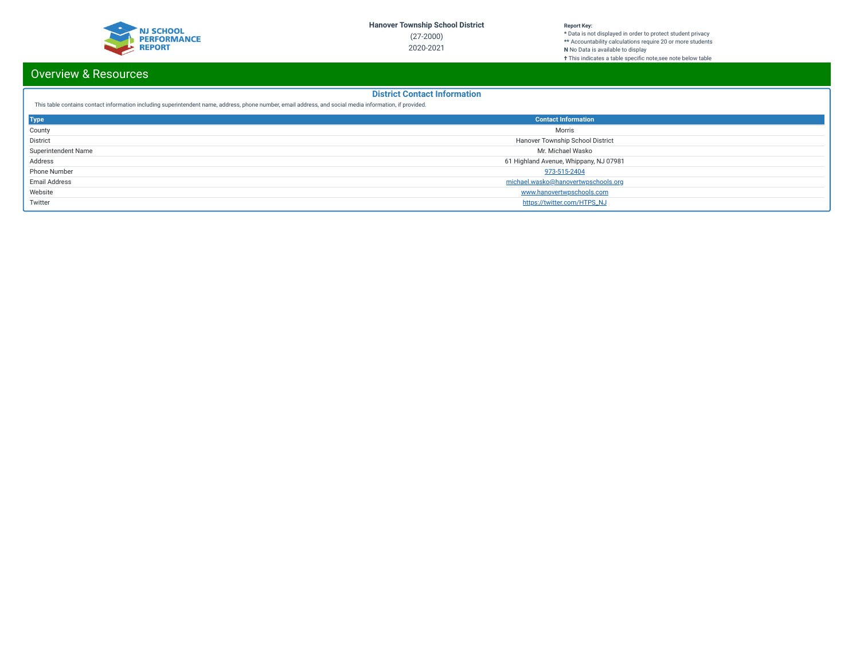

#### **Report Key:**

**\*** Data is not displayed in order to protect student privacy **\*\*** Accountability calculations require 20 or more students **N** No Data is available to display **†** This indicates a table specic note,see note below table

# Overview & Resources

## **District Contact Information**

This table contains contact information including superintendent name, address, phone number, email address, and social media information, if provided.

| <b>Type</b>         | <b>Contact Information</b>             |
|---------------------|----------------------------------------|
| County              | Morris                                 |
| <b>District</b>     | Hanover Township School District       |
| Superintendent Name | Mr. Michael Wasko                      |
| Address             | 61 Highland Avenue, Whippany, NJ 07981 |
| Phone Number        | 973-515-2404                           |
| Email Address       | michael.wasko@hanovertwpschools.org    |
| Website             | www.hanovertwpschools.com              |
| Twitter             | https://twitter.com/HTPS_NJ            |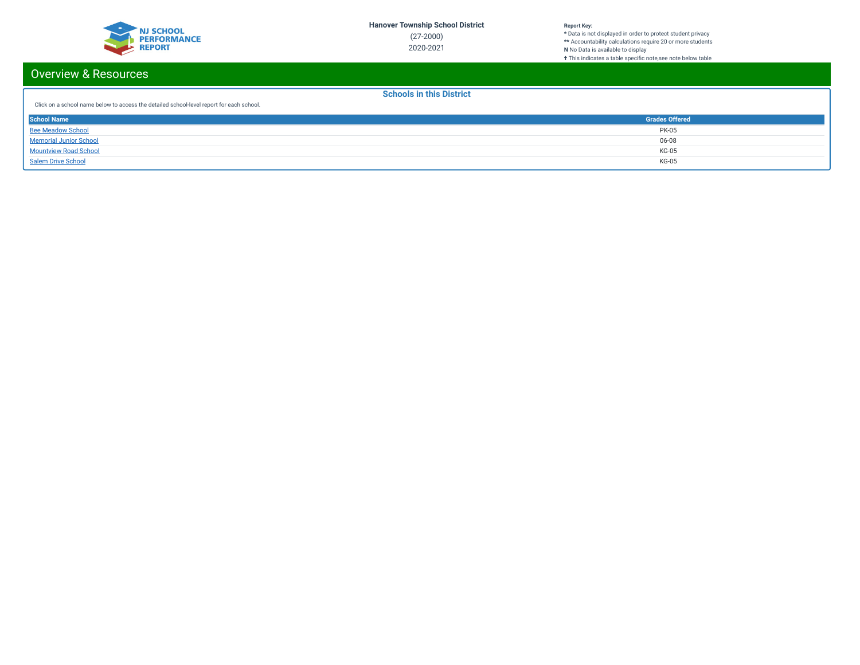

**\*** Data is not displayed in order to protect student privacy **\*\*** Accountability calculations require 20 or more students **N** No Data is available to display **†** This indicates a table specic note,see note below table

# Overview & Resources

**Schools in this District**

| Click on a school name below to access the detailed school-level report for each school. |  |
|------------------------------------------------------------------------------------------|--|
|------------------------------------------------------------------------------------------|--|

| <b>School Name</b>            | <b>Grades Offered</b> |
|-------------------------------|-----------------------|
| <b>Bee Meadow School</b>      | <b>PK-05</b>          |
| <b>Memorial Junior School</b> | 06-08                 |
| <b>Mountview Road School</b>  | KG-05                 |
| <b>Salem Drive School</b>     | KG-05                 |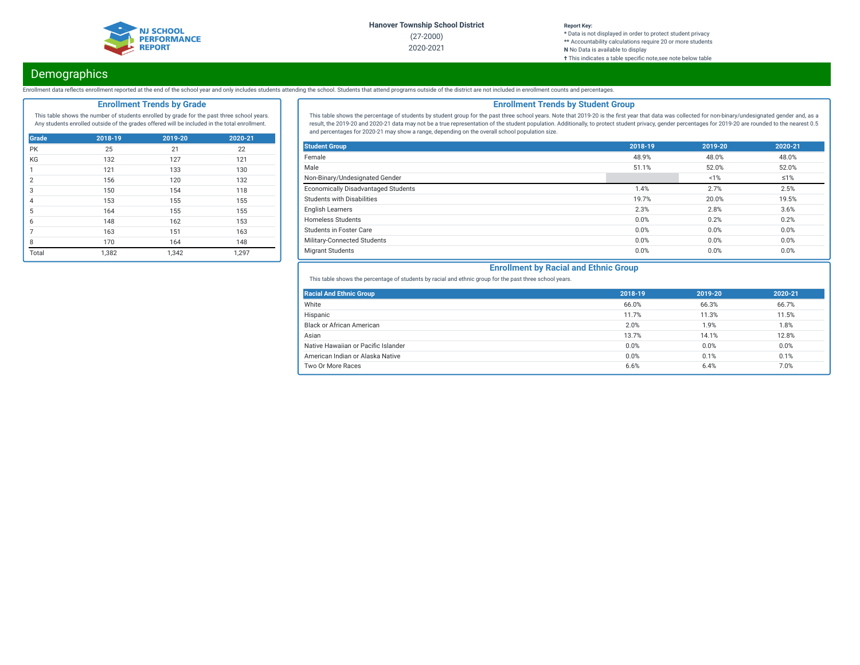

#### **Report Key:**

**\*** Data is not displayed in order to protect student privacy **\*\*** Accountability calculations require 20 or more students **N** No Data is available to display **†** This indicates a table specific note, see note below table

# Demographics

Enrollment data reflects enrollment reported at the end of the school year and only includes students attending the school. Students that attend programs outside of the district are not included in enrollment counts and pe

## **Enrollment Trends by Grade**

This table shows the number of students enrolled by grade for the past three school years. Any students enrolled outside of the grades offered will be included in the total enrollment.

| Grade          | 2018-19 | 2019-20 | 2020-21 |
|----------------|---------|---------|---------|
| PK             | 25      | 21      | 22      |
| KG             | 132     | 127     | 121     |
| 1              | 121     | 133     | 130     |
| $\mathfrak{p}$ | 156     | 120     | 132     |
| 3              | 150     | 154     | 118     |
| $\overline{4}$ | 153     | 155     | 155     |
| 5              | 164     | 155     | 155     |
| 6              | 148     | 162     | 153     |
| 7              | 163     | 151     | 163     |
| 8              | 170     | 164     | 148     |
| Total          | 1,382   | 1,342   | 1,297   |

## **Enrollment Trends by Student Group**

This table shows the percentage of students by student group for the past three school years. Note that 2019-20 is the first year that data was collected for non-binary/undesignated gender and, as a result, the 2019-20 and 2020-21 data may not be a true representation of the student population. Additionally, to protect student privacy, gender percentages for 2019-20 are rounded to the nearest 0.5 and percentages for 2020-21 may show a range, depending on the overall school population size.

| <b>Student Group</b>                | 2018-19 | 2019-20 | 2020-21    |
|-------------------------------------|---------|---------|------------|
| Female                              | 48.9%   | 48.0%   | 48.0%      |
| Male                                | 51.1%   | 52.0%   | 52.0%      |
| Non-Binary/Undesignated Gender      |         | 1%      | $\leq 1\%$ |
| Economically Disadvantaged Students | 1.4%    | 2.7%    | 2.5%       |
| Students with Disabilities          | 19.7%   | 20.0%   | 19.5%      |
| <b>English Learners</b>             | 2.3%    | 2.8%    | 3.6%       |
| <b>Homeless Students</b>            | 0.0%    | 0.2%    | 0.2%       |
| <b>Students in Foster Care</b>      | 0.0%    | 0.0%    | 0.0%       |
| Military-Connected Students         | 0.0%    | 0.0%    | 0.0%       |
| <b>Migrant Students</b>             | 0.0%    | 0.0%    | 0.0%       |

## **Enrollment by Racial and Ethnic Group**

This table shows the percentage of students by racial and ethnic group for the past three school years.

| <b>Racial And Ethnic Group</b>      | 2018-19 | 2019-20 | 2020-21 |
|-------------------------------------|---------|---------|---------|
| White                               | 66.0%   | 66.3%   | 66.7%   |
| Hispanic                            | 11.7%   | 11.3%   | 11.5%   |
| <b>Black or African American</b>    | 2.0%    | 1.9%    | 1.8%    |
| Asian                               | 13.7%   | 14.1%   | 12.8%   |
| Native Hawaiian or Pacific Islander | 0.0%    | 0.0%    | 0.0%    |
| American Indian or Alaska Native    | 0.0%    | 0.1%    | 0.1%    |
| Two Or More Races                   | 6.6%    | 6.4%    | 7.0%    |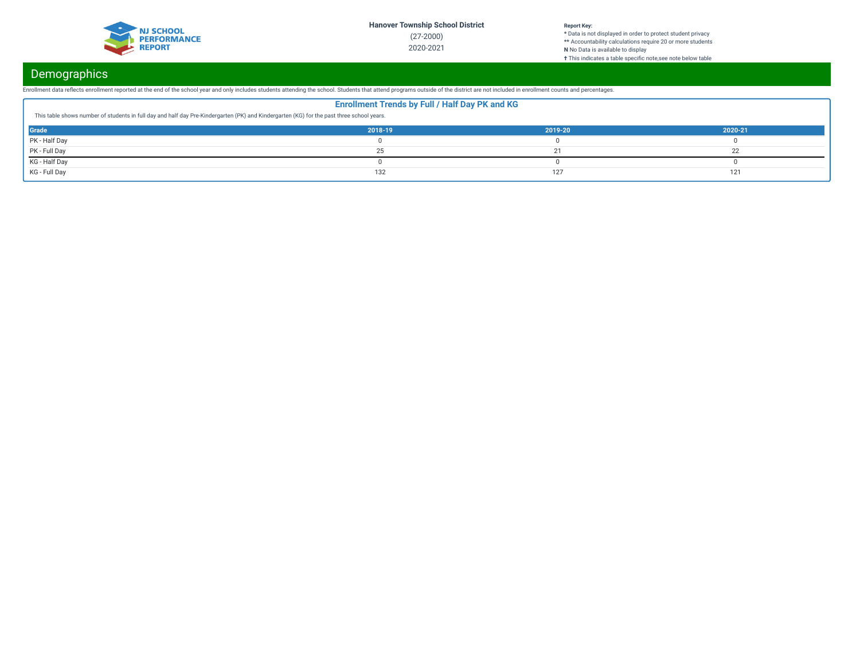

**\*** Data is not displayed in order to protect student privacy **\*\*** Accountability calculations require 20 or more students **N** No Data is available to display **†** This indicates a table specific note, see note below table

# **Demographics**

Enrollment data reflects enrollment reported at the end of the school year and only includes students attending the school. Students that attend programs outside of the district are not included in enrollment counts and pe

| <b>Enrollment Trends by Full / Half Day PK and KG</b>                                                                                     |         |         |         |  |  |
|-------------------------------------------------------------------------------------------------------------------------------------------|---------|---------|---------|--|--|
| This table shows number of students in full day and half day Pre-Kindergarten (PK) and Kindergarten (KG) for the past three school years. |         |         |         |  |  |
| Grade                                                                                                                                     | 2018-19 | 2019-20 | 2020-21 |  |  |
| PK - Half Day                                                                                                                             |         |         |         |  |  |
| PK - Full Day                                                                                                                             |         |         |         |  |  |
| KG - Half Day                                                                                                                             |         |         |         |  |  |
| KG - Full Day                                                                                                                             | 132     | 127     | 121     |  |  |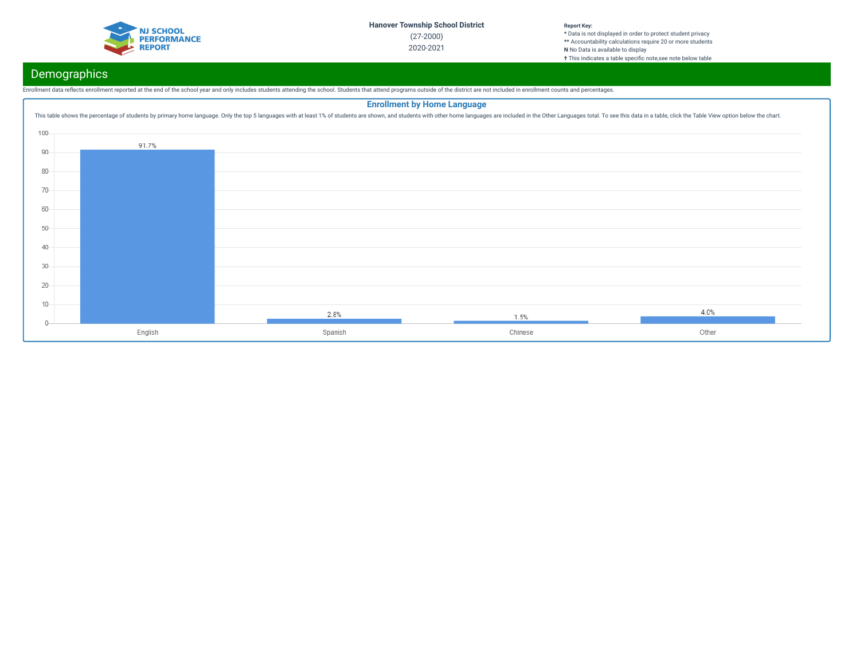

# Demographics

Enrollment data reflects enrollment reported at the end of the school year and only includes students attending the school. Students that attend programs outside of the district are not included in enrollment counts and pe

## **Enrollment by Home Language**This table shows the percentage of students by primary home language. Only the top 5 languages with at least 1% of students are shown, and students with other home languages are included in the Other Languages total. To se 100 91.7% 90 80 70 60 50 40 30 20 10  $4.0%$ 2.8%  $1.5%$  $0 -$ English Spanish Chinese Other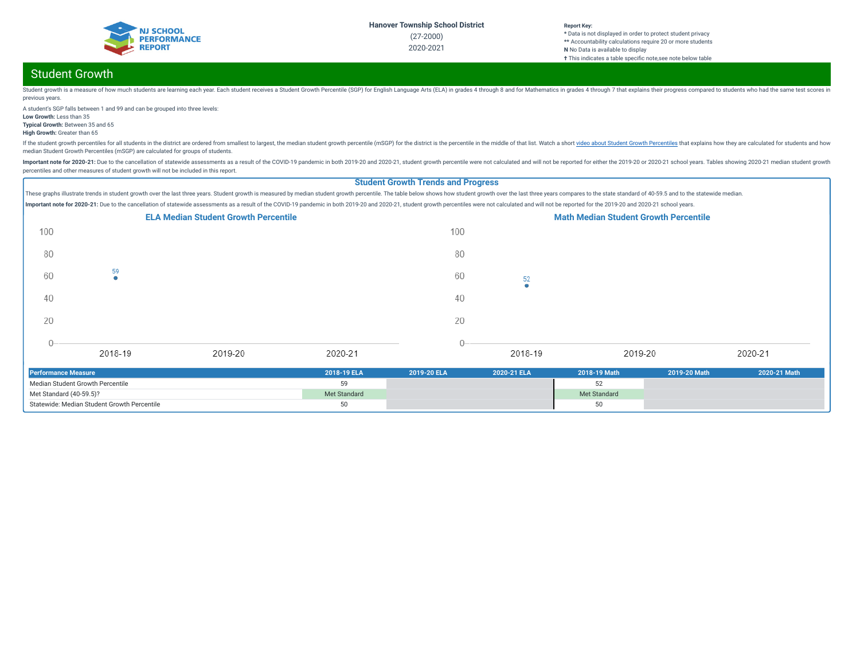

# Student Growth

Student growth is a measure of how much students are learning each year. Each student receives a Student crowth Percentile (SGP) for English Language Arts (ELA) in grades 4 through 8 and for Mathematics in grades 4 through previous years.

A student's SGP falls between 1 and 99 and can be grouped into three levels: **Low Growth:** Less than 35

**Typical Growth:** Between 35 and 65

**High Growth:** Greater than 65

If the student growth percentiles for all students in the district are ordered from smallest to largest, the median student growth percentile (mSGP) for the district is the percentile in the middle of that list. Watch a sh median Student Growth Percentiles (mSGP) are calculated for groups of students.

Important note for 2020-21: Due to the cancellation of statewide assessments as a result of the COVID-19 pandemic in both 2019-20 and 2020-21, student growth percentile were not calculated and will not be reported for eith percentiles and other measures of student growth will not be included in this report.

### **Student Growth Trends and Progress**

These graphs illustrate trends in student growth over the last three years. Student growth is measured by median student growth percentile. The table below shows how student growth over the last three years compares to the Important note for 2020-21: Due to the cancellation of statewide assessments as a result of the COVID-19 pandemic in both 2019-20 and 2020-21, student growth percentiles were not calculated and will not be reported for the



| Performance Measure                         | 2018-19 ELA  | 2019-20 ELA | 2020-21 ELA | 2018-19 Math | 2019-20 Math | 2020-21 Math |
|---------------------------------------------|--------------|-------------|-------------|--------------|--------------|--------------|
| Median Student Growth Percentile            |              |             |             |              |              |              |
| Met Standard (40-59.5)?                     | Met Standard |             |             | Met Standard |              |              |
| Statewide: Median Student Growth Percentile |              |             |             |              |              |              |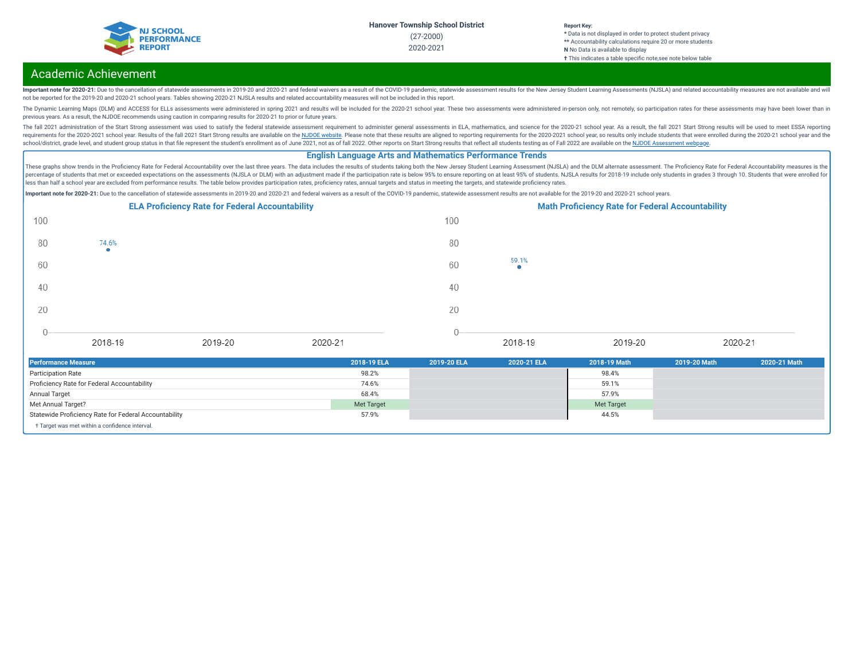

#### **Report Key: \*** Data is not displayed in order to protect student privacy **\*\*** Accountability calculations require 20 or more students **N** No Data is available to display

**†** This indicates a table specific note, see note below table

## Academic Achievement

Important note for 2020-21: Due to the cancellation of statewide assessments in 2019-20 and 2020-21 and federal waivers as a result of the COVID-19 pandemic, statewide assessment results for the New Jersey Student Learning not be reported for the 2019-20 and 2020-21 school years. Tables showing 2020-21 NJSLA results and related accountability measures will not be included in this report.

The Dynamic Learning Maps (DLM) and ACCESS for ELLs assessments were administered in spring 2021 and results will be included for the 2020-21 school year. These two assessments were administered in-person only, not remotel previous years. As a result, the NJDOE recommends using caution in comparing results for 2020-21 to prior or future years.

The fall 2021 administration of the Start Strong assessment was used to satisfy the federal statewide assessment requirement to administer general assessments in ELA, mathematics, and science for the 2020-21 school year. A requirements for the 2020-2021 school year. Results of the fall 2021 Start Strong results are available on the NJDOE [website](https://www.state.nj.us/education/title1/accountability/progress/21/). Please note that these results are aligned to reporting requirements for the 2020-2021 school ye school/district, grade level, and student group status in that file represent the student's enrollment as of June 2021, not as of fall 2022. Other reports on Start Strong results that reflect all students testing as of Fal

### **English Language Arts and Mathematics Performance Trends**

These graphs show trends in the Proficiency Rate for Federal Accountability over the last three years. The data includes the results of students taking both the New Jersey Student Learning Assessment (NJSLA) and the DLM al percentage of students that met or exceeded expectations on the assessments (NJSLA or DLM) with an adjustment made if the participation rate is below 95% to ensure reporting on at least 95% of students. NJSLA results for 2 less than half a school year are excluded from performance results. The table below provides participation rates, proficiency rates, annual targets and status in meeting the targets, and statewide proficiency rates.

Important note for 2020-21: Due to the cancellation of statewide assessments in 2019-20 and 2020-21 and federal waivers as a result of the COVID-19 pandemic, statewide assessment results are not available for the 2019-20 a



| <b>Performance Measure</b>                            | 2018-19 ELA | 2019-20 ELA | 2020-21 ELA | 2018-19 Math | 2019-20 Math | 2020-21 Math |
|-------------------------------------------------------|-------------|-------------|-------------|--------------|--------------|--------------|
| <b>Participation Rate</b>                             | 98.2%       |             |             | 98.4%        |              |              |
| Proficiency Rate for Federal Accountability           | 74.6%       |             |             | 59.1%        |              |              |
| Annual Target                                         | 68.4%       |             |             | 57.9%        |              |              |
| Met Annual Target?                                    | Met Target  |             |             | Met Target   |              |              |
| Statewide Proficiency Rate for Federal Accountability | 57.9%       |             |             | 44.5%        |              |              |
| + Target was met within a confidence interval.        |             |             |             |              |              |              |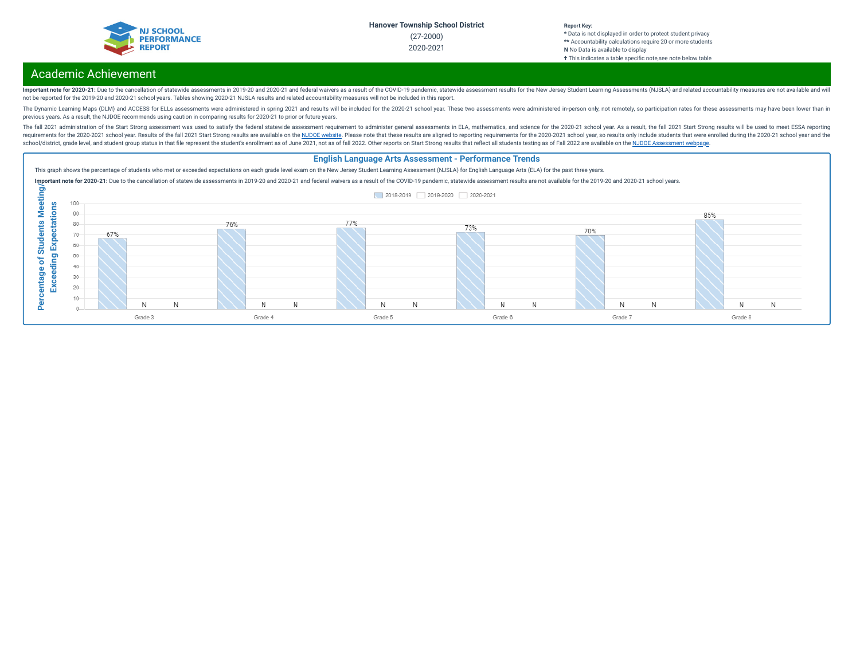

#### **Report Key: \*** Data is not displayed in order to protect student privacy **\*\*** Accountability calculations require 20 or more students **N** No Data is available to display

#### **†** This indicates a table specic note,see note below table

# Academic Achievement

Important note for 2020-21: Due to the cancellation of statewide assessments in 2019-20 and 2020-21 and federal waivers as a result of the COVID-19 pandemic, statewide assessment results for the New Jersey Student Learning not be reported for the 2019-20 and 2020-21 school years. Tables showing 2020-21 NJSLA results and related accountability measures will not be included in this report.

The Dynamic Learning Maps (DLM) and ACCESS for ELLs assessments were administered in spring 2021 and results will be included for the 2020-21 school year. These two assessments were administered in-person only, not remotel previous years. As a result, the NJDOE recommends using caution in comparing results for 2020-21 to prior or future years.

The fall 2021 administration of the Start Strong assessment was used to satisfy the federal statewide assessment requirement to administer general assessments in ELA, mathematics, and science for the 2020-21 school year. A requirements for the 2020-2021 school year. Results of the fall 2021 Start Strong results are available on the NJDOE [website](https://www.state.nj.us/education/title1/accountability/progress/21/). Please note that these results are aligned to reporting requirements for the 2020-2021 school ye school/district, grade level, and student group status in that file represent the student's enrollment as of June 2021, not as of fall 2022. Other reports on Start Strong results that reflect all students testing as of Fal

### **English Language Arts Assessment - Performance Trends**

This graph shows the percentage of students who met or exceeded expectations on each grade level exam on the New Jersey Student Learning Assessment (NJSLA) for English Language Arts (ELA) for the past three years.

Important note for 2020-21: Due to the cancellation of statewide assessments in 2019-20 and 2020-21 and federal waivers as a result of the COVID-19 pandemic, statewide assessment results are not available for the 2019-20 a

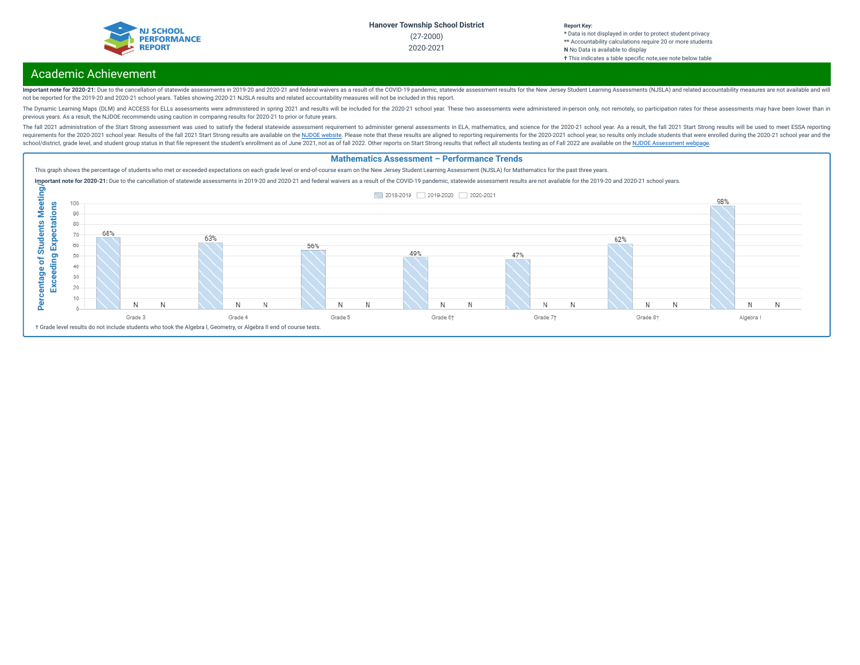

#### **Report Key: \*** Data is not displayed in order to protect student privacy **\*\*** Accountability calculations require 20 or more students **N** No Data is available to display

#### **†** This indicates a table specific note, see note below table

## Academic Achievement

Important note for 2020-21: Due to the cancellation of statewide assessments in 2019-20 and 2020-21 and federal waivers as a result of the COVID-19 pandemic, statewide assessment results for the New Jersey Student Learning not be reported for the 2019-20 and 2020-21 school years. Tables showing 2020-21 NJSLA results and related accountability measures will not be included in this report.

The Dynamic Learning Maps (DLM) and ACCESS for ELLs assessments were administered in spring 2021 and results will be included for the 2020-21 school year. These two assessments were administered in-person only, not remotel previous years. As a result, the NJDOE recommends using caution in comparing results for 2020-21 to prior or future years.

The fall 2021 administration of the Start Strong assessment was used to satisfy the federal statewide assessment requirement to administer general assessments in ELA, mathematics, and science for the 2020-21 school year. A requirements for the 2020-2021 school year. Results of the fall 2021 Start Strong results are available on the NJDOE [website](https://www.state.nj.us/education/title1/accountability/progress/21/). Please note that these results are aligned to reporting requirements for the 2020-2021 school ye school/district, grade level, and student group status in that file represent the student's enrollment as of June 2021, not as of fall 2022. Other reports on Start Strong results that reflect all students testing as of Fal

#### **Mathematics Assessment – Performance Trends**

This graph shows the percentage of students who met or exceeded expectations on each grade level or end-of-course exam on the New Jersey Student Learning Assessment (NJSLA) for Mathematics for the past three years.

Important note for 2020-21: Due to the cancellation of statewide assessments in 2019-20 and 2020-21 and federal waivers as a result of the COVID-19 pandemic, statewide assessment results are not available for the 2019-20 a

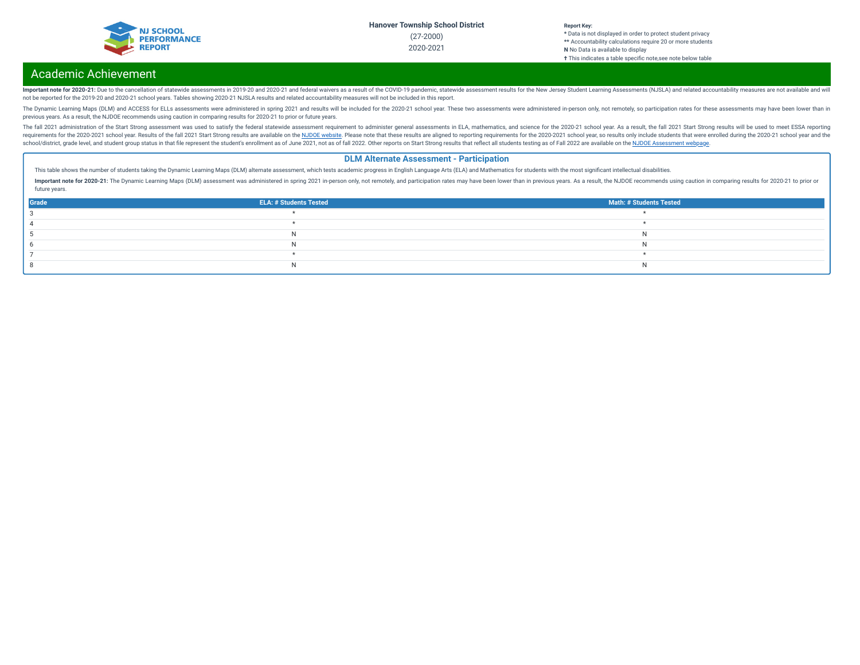

**\*** Data is not displayed in order to protect student privacy **\*\*** Accountability calculations require 20 or more students **N** No Data is available to display **†** This indicates a table specic note,see note below table

## Academic Achievement

Important note for 2020-21: Due to the cancellation of statewide assessments in 2019-20 and 2020-21 and federal waivers as a result of the COVID-19 pandemic, statewide assessment results for the New Jersey Student Learning not be reported for the 2019-20 and 2020-21 school years. Tables showing 2020-21 NJSLA results and related accountability measures will not be included in this report.

The Dynamic Learning Maps (DLM) and ACCESS for ELLs assessments were administered in spring 2021 and results will be included for the 2020-21 school year. These two assessments were administered in-person only, not remotel previous years. As a result, the NJDOE recommends using caution in comparing results for 2020-21 to prior or future years.

The fall 2021 administration of the Start Strong assessment was used to satisfy the federal statewide assessment requirement to administer general assessments in ELA, mathematics, and science for the 2020-21 school year. A requirements for the 2020-2021 school year. Results of the fall 2021 Start Strong results are available on the NJDOE [website](https://www.state.nj.us/education/title1/accountability/progress/21/). Please note that these results are aligned to reporting requirements for the 2020-2021 school ye school/district, grade level, and student group status in that file represent the student's enrollment as of June 2021, not as of fall 2022. Other reports on Start Strong results that reflect all students testing as of Fal

### **DLM Alternate Assessment - Participation**

This table shows the number of students taking the Dynamic Learning Maps (DLM) alternate assessment, which tests academic progress in English Language Arts (ELA) and Mathematics for students with the most significant intel

Important note for 2020-21: The Dynamic Learning Maps (DLM) assessment was administered in spring 2021 in-person only, not remotely, and participation rates may have been lower than in previous years. As a result, the NJDO future years.

| Grade | <b>ELA: # Students Tested</b> | <b>Math: # Students Tested</b> |
|-------|-------------------------------|--------------------------------|
|       |                               |                                |
|       |                               |                                |
|       |                               |                                |
|       |                               |                                |
|       |                               |                                |
|       |                               |                                |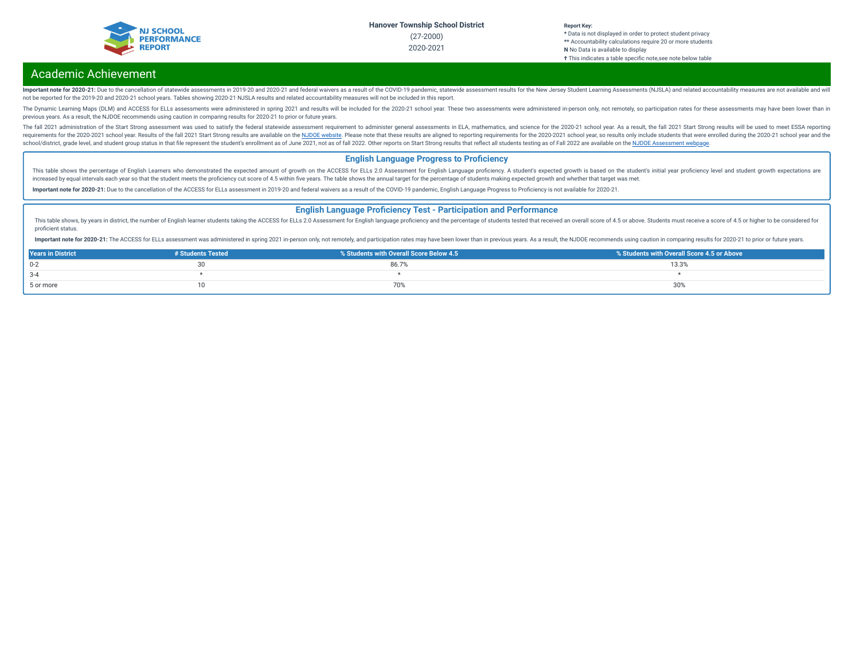

**\*** Data is not displayed in order to protect student privacy **\*\*** Accountability calculations require 20 or more students **N** No Data is available to display **†** This indicates a table specific note, see note below table

## Academic Achievement

Important note for 2020-21: Due to the cancellation of statewide assessments in 2019-20 and 2020-21 and federal waivers as a result of the COVID-19 pandemic, statewide assessment results for the New Jersey Student Learning not be reported for the 2019-20 and 2020-21 school years. Tables showing 2020-21 NJSLA results and related accountability measures will not be included in this report.

The Dynamic Learning Maps (DLM) and ACCESS for ELLs assessments were administered in spring 2021 and results will be included for the 2020-21 school year. These two assessments were administered in-person only, not remotel previous years. As a result, the NJDOE recommends using caution in comparing results for 2020-21 to prior or future years.

The fall 2021 administration of the Start Strong assessment was used to satisfy the federal statewide assessment requirement to administer general assessments in ELA, mathematics, and science for the 2020-21 school year. A requirements for the 2020-2021 school year. Results of the fall 2021 Start Strong results are available on the NJDOE [website](https://www.state.nj.us/education/title1/accountability/progress/21/). Please note that these results are aligned to reporting requirements for the 2020-2021 school ye school/district, grade level, and student group status in that file represent the student's enrollment as of June 2021, not as of fall 2022. Other reports on Start Strong results that reflect all students testing as of Fal

### **English Language Progress to Proficiency**

This table shows the percentage of English Learners who demonstrated the expected amount of growth on the ACCESS for ELLs 2.0 Assessment for English Language proficiency. A student's expected growth is based on the student increased by equal intervals each year so that the student meets the proficiency cut score of 4.5 within five years. The table shows the annual target for the percentage of students making expected growth and whether that

Important note for 2020-21: Due to the cancellation of the ACCESS for ELLs assessment in 2019-20 and federal waivers as a result of the COVID-19 pandemic, English Language Progress to Proficiency is not available for 2020-

#### **English Language Proficiency Test - Participation and Performance**

This table shows, by years in district, the number of English learner students taking the ACCESS for ELLs 2.0 Assessment for English language proficiency and the percentage of students tested that received an overall score proficient status.

Important note for 2020-21: The ACCESS for ELLs assessment was administered in spring 2021 in-person only, not remotely, and participation rates may have been lower than in previous years. As a result, the NJDOE recommends

| <b>Years in District</b> | # Students Tested | % Students with Overall Score Below 4.5 | % Students with Overall Score 4.5 or Above |
|--------------------------|-------------------|-----------------------------------------|--------------------------------------------|
| $0 - 2$                  |                   | 86.7                                    | 13.3%                                      |
| $3 - 4$                  |                   |                                         |                                            |
| 5 or more                |                   | /U%                                     |                                            |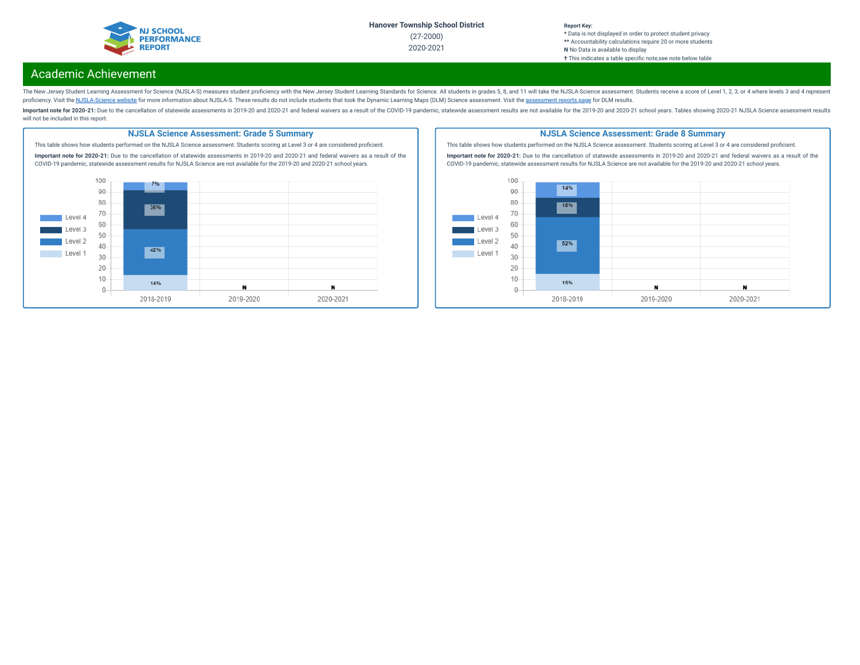

### **Report Key:**

**\*** Data is not displayed in order to protect student privacy **\*\*** Accountability calculations require 20 or more students **N** No Data is available to display **†** This indicates a table specic note,see note below table

## Academic Achievement

The New Jersey Student Learning Assessment for Science (NJSLA-S) measures student proficiency with the New Jersey Student Learning Standards for Science. All students in grades 5, 8, and 11 will take the NJSLA-Science asse proficiency. Visit the [NJSLA-Science](https://www.nj.gov/education/assessment/resources/science/) website for more information about NJSLA-S. These results do not include students that took the Dynamic Learning Maps (DLM) Science [assessment](https://www.nj.gov/education/schools/achievement/). Visit the assessment reports page for DLM

Important note for 2020-21: Due to the cancellation of statewide assessments in 2019-20 and 2020-21 and federal waivers as a result of the COVID-19 pandemic, statewide assessment results are not available for the 2019-20 a will not be included in this report.

#### **NJSLA Science Assessment: Grade 5 Summary**

This table shows how students performed on the NJSLA Science assessment. Students scoring at Level 3 or 4 are considered proficient. **Important note for 2020-21:** Due to the cancellation of statewide assessments in 2019-20 and 2020-21 and federal waivers as a result of the COVID-19 pandemic, statewide assessment results for NJSLA Science are not available for the 2019-20 and 2020-21 school years.  $100 -$ 7%



#### **NJSLA Science Assessment: Grade 8 Summary**

This table shows how students performed on the NJSLA Science assessment. Students scoring at Level 3 or 4 are considered proficient.

**Important note for 2020-21:** Due to the cancellation of statewide assessments in 2019-20 and 2020-21 and federal waivers as a result of the COVID-19 pandemic, statewide assessment results for NJSLA Science are not available for the 2019-20 and 2020-21 school years.

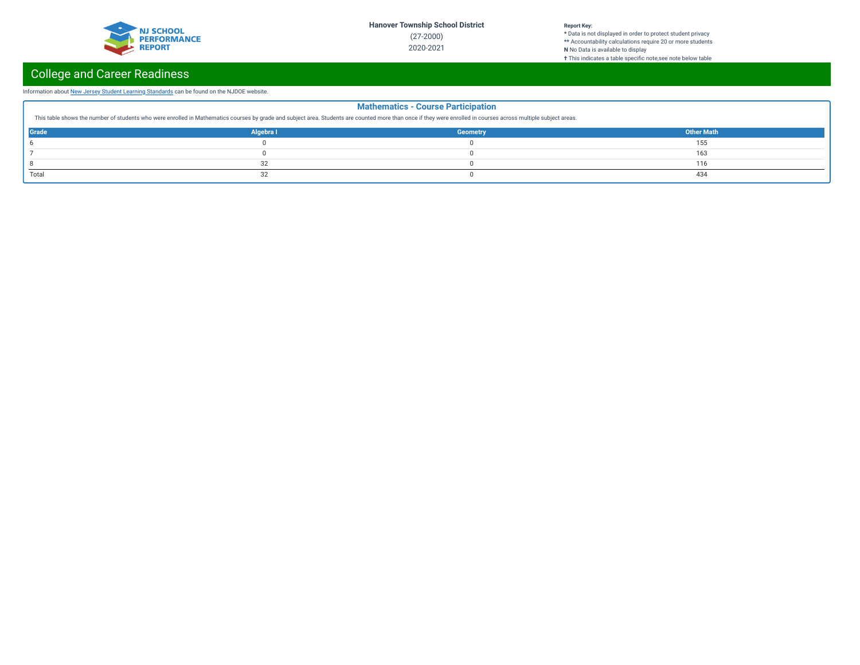

#### **Report Key:**

**\*** Data is not displayed in order to protect student privacy **\*\*** Accountability calculations require 20 or more students **N** No Data is available to display **†** This indicates a table specic note,see note below table

# College and Career Readiness

### Information about New Jersey Student Learning [Standards](https://www.nj.gov/education/cccs/) can be found on the NJDOE website.

| <b>Mathematics - Course Participation</b><br>This table shows the number of students who were enrolled in Mathematics courses by grade and subject area. Students are counted more than once if they were enrolled in courses across multiple subject areas. |           |                 |                   |  |  |
|--------------------------------------------------------------------------------------------------------------------------------------------------------------------------------------------------------------------------------------------------------------|-----------|-----------------|-------------------|--|--|
| <b>Grade</b>                                                                                                                                                                                                                                                 | Algebra I | <b>Geometry</b> | <b>Other Math</b> |  |  |
|                                                                                                                                                                                                                                                              |           |                 | 155               |  |  |
|                                                                                                                                                                                                                                                              |           |                 | 163               |  |  |
|                                                                                                                                                                                                                                                              | 32        |                 | 116               |  |  |
| Total                                                                                                                                                                                                                                                        | 32        |                 | 434               |  |  |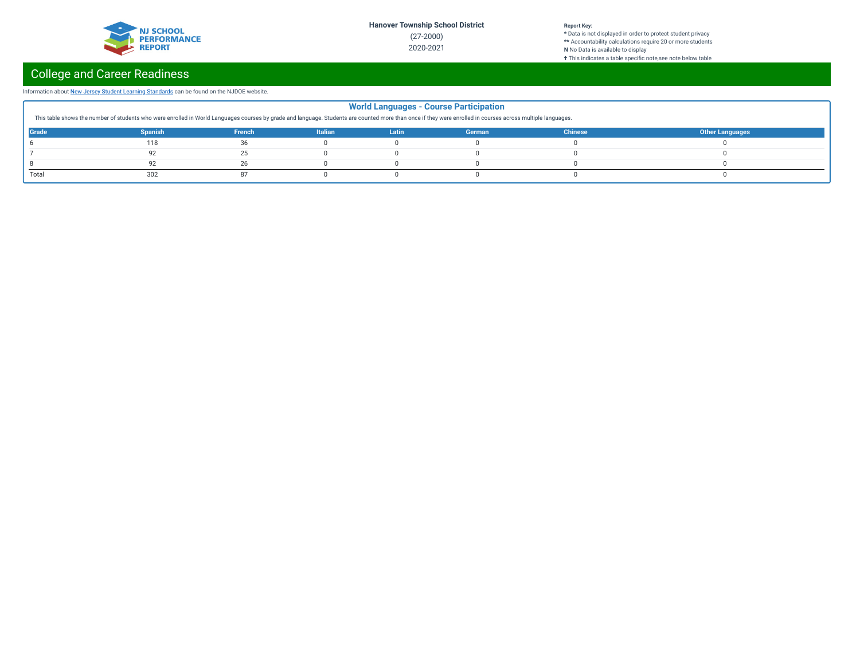

#### **Report Key:**

**\*** Data is not displayed in order to protect student privacy **\*\*** Accountability calculations require 20 or more students **N** No Data is available to display **†** This indicates a table specic note,see note below table

# College and Career Readiness

### Information about New Jersey Student Learning [Standards](https://www.nj.gov/education/cccs/) can be found on the NJDOE website.

| <b>World Languages - Course Participation</b><br>This table shows the number of students who were enrolled in World Languages courses by grade and language. Students are counted more than once if they were enrolled in courses across multiple languages. |                |        |                |       |        |                |                        |
|--------------------------------------------------------------------------------------------------------------------------------------------------------------------------------------------------------------------------------------------------------------|----------------|--------|----------------|-------|--------|----------------|------------------------|
| <b>Grade</b>                                                                                                                                                                                                                                                 | <b>Spanish</b> | French | <b>Italian</b> | Latin | German | <b>Chinese</b> | <b>Other Languages</b> |
|                                                                                                                                                                                                                                                              | 118            | 36     |                |       |        |                |                        |
|                                                                                                                                                                                                                                                              |                | 25     |                |       |        |                |                        |
|                                                                                                                                                                                                                                                              |                | 26     |                |       |        |                |                        |
| Total                                                                                                                                                                                                                                                        | 302            |        |                |       |        |                |                        |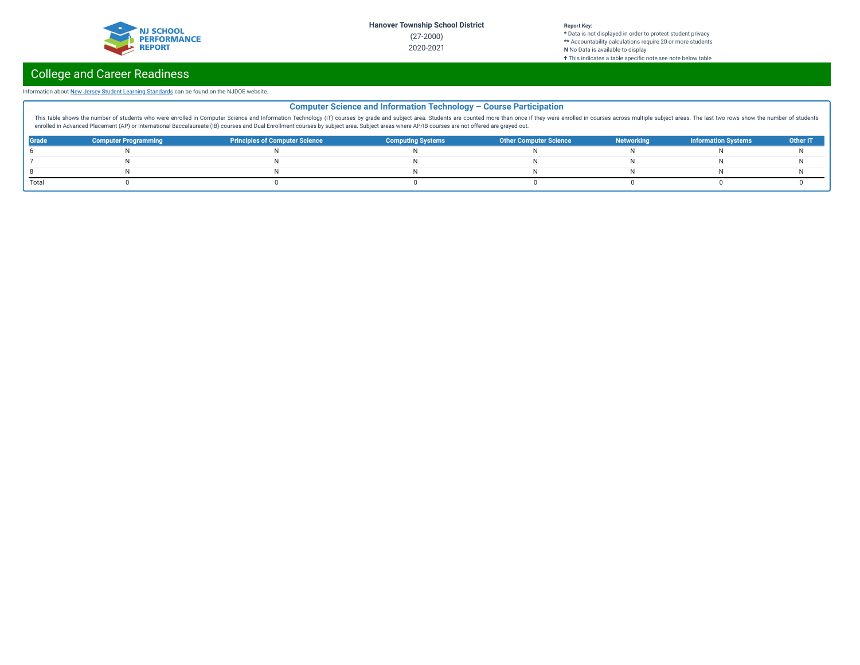

**\*** Data is not displayed in order to protect student privacy **\*\*** Accountability calculations require 20 or more students **N** No Data is available to display **†** This indicates a table specic note,see note below table

# College and Career Readiness

### Information about New Jersey Student Learning [Standards](https://www.nj.gov/education/cccs/) can be found on the NJDOE website.

|       | <b>Computer Science and Information Technology - Course Participation</b>                                                                                                                                                      |                                       |                          |                               |                   |                            |          |  |
|-------|--------------------------------------------------------------------------------------------------------------------------------------------------------------------------------------------------------------------------------|---------------------------------------|--------------------------|-------------------------------|-------------------|----------------------------|----------|--|
|       | This table shows the number of students who were enrolled in Computer Science and Information Technology (IT) courses by grade and subject area. Students are counted more than once if they were enrolled in courses across m |                                       |                          |                               |                   |                            |          |  |
|       | enrolled in Advanced Placement (AP) or International Baccalaureate (IB) courses and Dual Enrollment courses by subject area. Subject areas where AP/IB courses are not offered are grayed out.                                 |                                       |                          |                               |                   |                            |          |  |
| Grade | <b>Computer Programming</b>                                                                                                                                                                                                    | <b>Principles of Computer Science</b> | <b>Computing Systems</b> | <b>Other Computer Science</b> | <b>Networking</b> | <b>Information Systems</b> | Other IT |  |
|       |                                                                                                                                                                                                                                |                                       |                          |                               |                   |                            |          |  |
|       |                                                                                                                                                                                                                                |                                       |                          |                               |                   |                            |          |  |
|       |                                                                                                                                                                                                                                |                                       |                          |                               |                   |                            |          |  |
| Total |                                                                                                                                                                                                                                |                                       |                          |                               |                   |                            |          |  |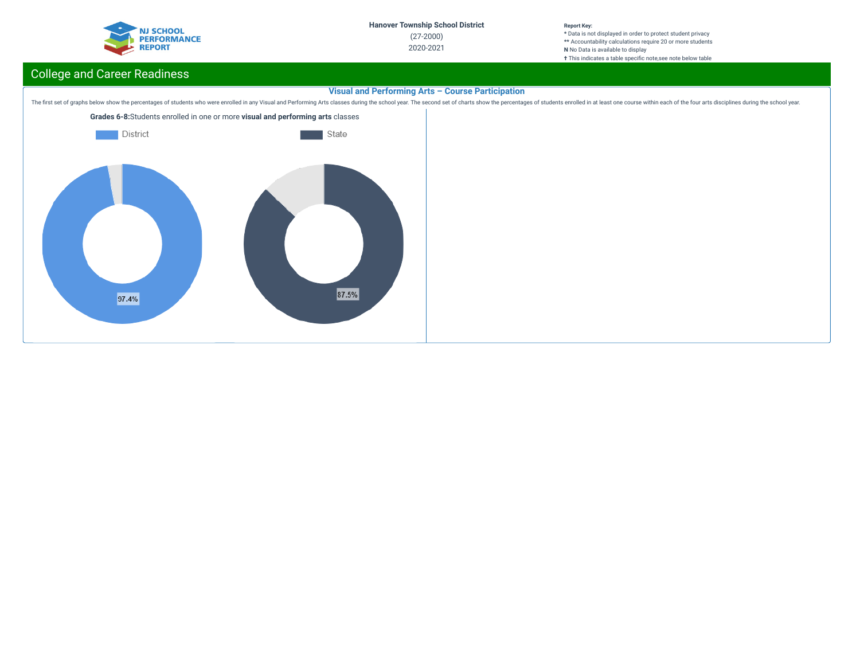

**\*** Data is not displayed in order to protect student privacy **\*\*** Accountability calculations require 20 or more students **N** No Data is available to display **†** This indicates a table specific note, see note below table

# College and Career Readiness

## **Visual and Performing Arts – Course Participation**

The first set of graphs below show the percentages of students who were enrolled in any Visual and Performing Arts classes during the school year. The second set of charts show the percentages of students enrolled in at le

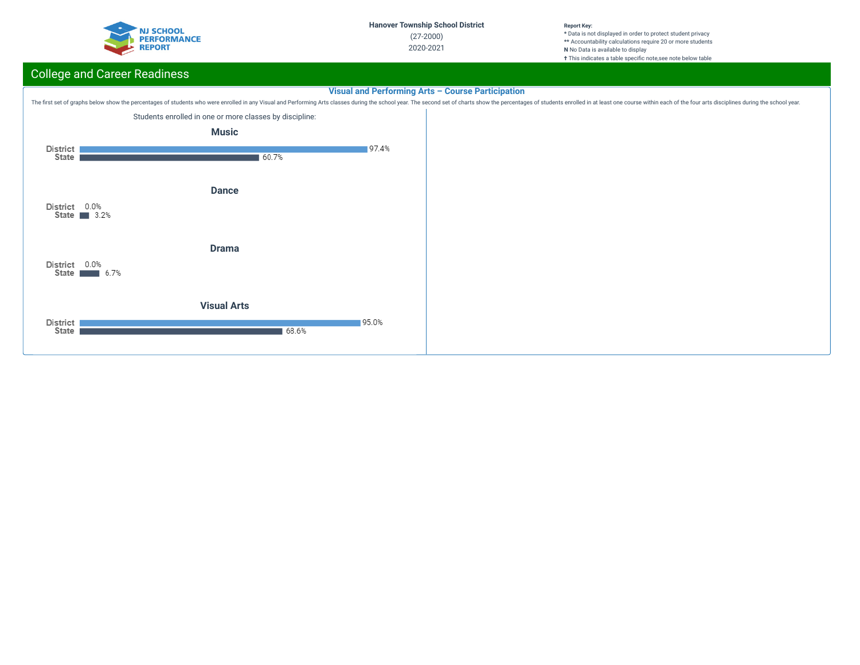

**\*** Data is not displayed in order to protect student privacy **\*\*** Accountability calculations require 20 or more students **N** No Data is available to display **†** This indicates a table specific note, see note below table

# College and Career Readiness

## **Visual and Performing Arts – Course Participation**



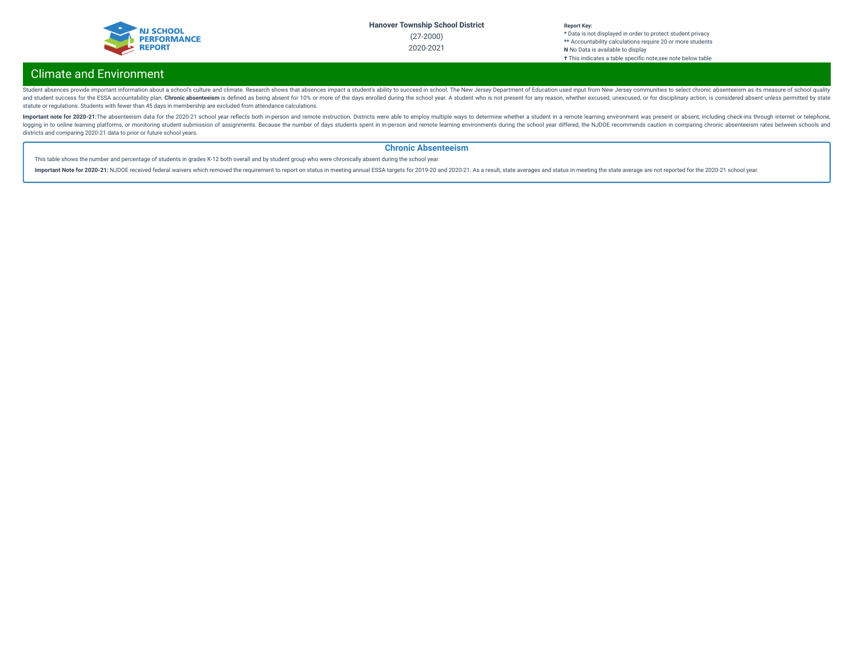

# Climate and Environment

Student absences provide important information about a school's culture and climate. Research shows that absences impact a student's ability to succeed in school. The New Jersey Department of Education used input from New and student success for the ESSA accountability plan. Chronic absenteeism is defined as being absent for 10% or more of the days enrolled during the school year. A student who is not present for any reason, whether excused statute or regulations. Students with fewer than 45 days in membership are excluded from attendance calculations.

Important note for 2020-21:The absenteeism data for the 2020-21 school year reflects both in-person and remote instruction. Districts were able to employ multiple ways to determine whether a student in a remote learning en logging in to online learning platforms, or monitoring student submission of assignments. Because the number of days students spent in in-person and remote learning environments during the school year differed, the NJDOE r districts and comparing 2020-21 data to prior or future school years.

### **Chronic Absenteeism**

This table shows the number and percentage of students in grades K-12 both overall and by student group who were chronically absent during the school year.

Important Note for 2020-21: NJDOE received federal waivers which removed the requirement to report on status in meeting annual ESSA targets for 2019-20 and 2020-21. As a result, state averages and status in meeting the sta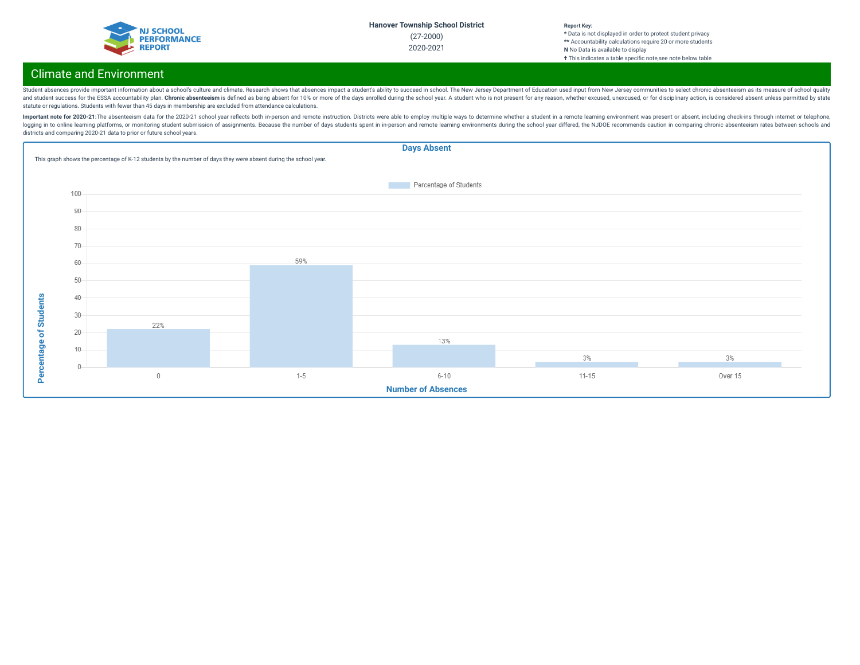| <b>NJ SCHOOL</b>   |
|--------------------|
| <b>PERFORMANCE</b> |
| <b>REPORT</b>      |
|                    |

#### **Report Key: \*** Data is not displayed in order to protect student privacy **\*\*** Accountability calculations require 20 or more students **N** No Data is available to display **†** This indicates a table specic note,see note below table

## Climate and Environment

Student absences provide important information about a school's culture and climate. Research shows that absences impact a student's ability to succeed in school. The New Jersey Department of Education used input from New and student success for the ESSA accountability plan. Chronic absenteeism is defined as being absent for 10% or more of the days enrolled during the school year. A student who is not present for any reason, whether excused statute or regulations. Students with fewer than 45 days in membership are excluded from attendance calculations.

Important note for 2020-21:The absenteeism data for the 2020-21 school year reflects both in-person and remote instruction. Districts were able to employ multiple ways to determine whether a student in a remote learning en logging in to online learning platforms, or monitoring student submission of assignments. Because the number of days students spent in in-person and remote learning environments during the school year differed, the NJDOE r districts and comparing 2020-21 data to prior or future school years.

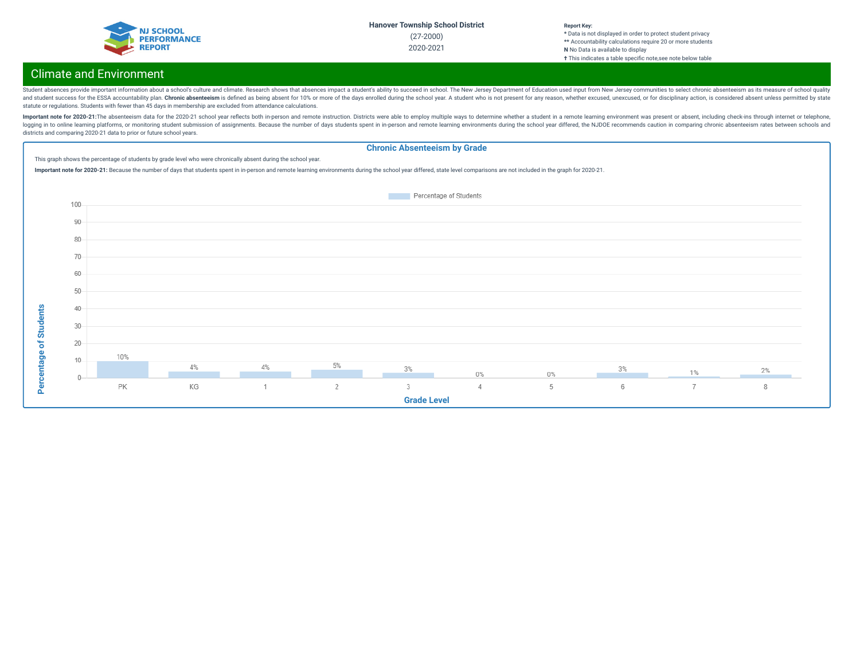| <b>NJ SCHOOL</b>   |
|--------------------|
| <b>PERFORMANCE</b> |
| <b>REPORT</b>      |
|                    |

#### **Report Key: \*** Data is not displayed in order to protect student privacy **\*\*** Accountability calculations require 20 or more students **N** No Data is available to display **†** This indicates a table specic note,see note below table

# Climate and Environment

**Percentage of Students**

Student absences provide important information about a school's culture and climate. Research shows that absences impact a student's ability to succeed in school. The New Jersey Department of Education used input from New and student success for the ESSA accountability plan. Chronic absenteeism is defined as being absent for 10% or more of the days enrolled during the school year. A student who is not present for any reason, whether excused statute or regulations. Students with fewer than 45 days in membership are excluded from attendance calculations.

Important note for 2020-21:The absenteeism data for the 2020-21 school year reflects both in-person and remote instruction. Districts were able to employ multiple ways to determine whether a student in a remote learning en logging in to online learning platforms, or monitoring student submission of assignments. Because the number of days students spent in in-person and remote learning environments during the school year differed, the NJDOE r districts and comparing 2020-21 data to prior or future school years.

#### **Chronic Absenteeism by Grade** This graph shows the percentage of students by grade level who were chronically absent during the school year. Important note for 2020-21: Because the number of days that students spent in in-person and remote learning environments during the school year differed, state level comparisons are not included in the graph for 2020-21. Percentage of Students 100 90 80 70 60 50 Percentage of Students 40 30 20 10%  $10$ 4% 4% 5% 3% 3%  $2%$  $1\%$  $0\%$  $0\%$ PK KG  $\mathbf{1}$  $\overline{2}$  $\overline{3}$  $\Delta$ 5  $6\phantom{1}$  $\overline{7}$ 8 **Grade Level**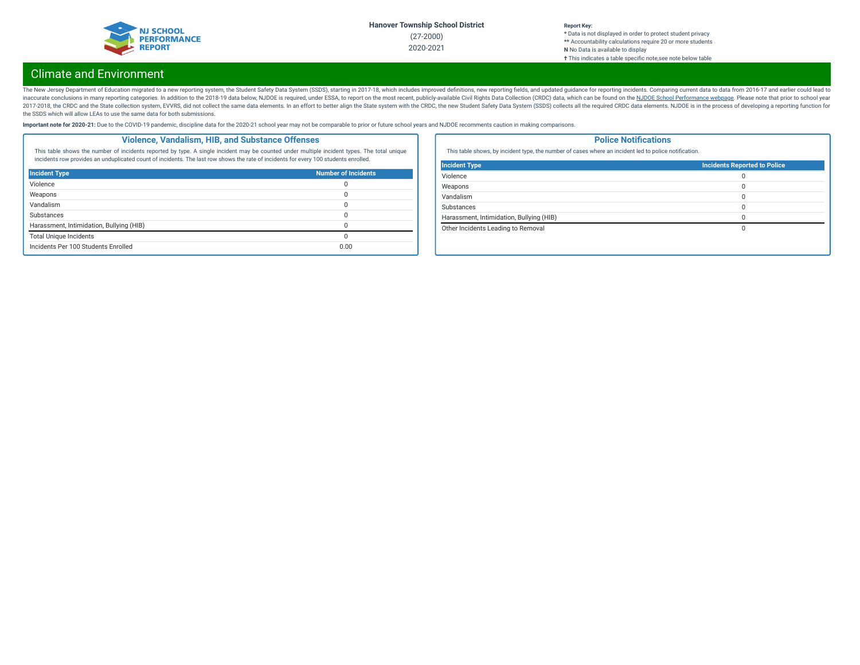

### **Report Key:**

**\*** Data is not displayed in order to protect student privacy **\*\*** Accountability calculations require 20 or more students **N** No Data is available to display **†** This indicates a table specic note,see note below table

## Climate and Environment

The New Jersey Department of Education migrated to a new reporting system, the Student Safety Data System (SSDS), starting in 2017-18, which includes improved definitions, new reporting fields, and updated guidance for rep inaccurate conclusions in many reporting categories. In addition to the 2018-19 data below, NJDOE is required, under ESSA, to report on the most recent, publicly-available Civil Rights Data Collection (CRDC) data, which ca 2017-2018, the CRDC and the State collection system, EVVRS, did not collect the same data elements. In an effort to better align the State system with the CRDC, the new Student Safety Data System (SSDS) collects all the re the SSDS which will allow LEAs to use the same data for both submissions.

Important note for 2020-21: Due to the COVID-19 pandemic, discipline data for the 2020-21 school year may not be comparable to prior or future school years and NJDOE recomments caution in making comparisons.

### **Violence, Vandalism, HIB, and Substance Offenses**

This table shows the number of incidents reported by type. A single incident may be counted under multiple incident types. The total unique incidents row provides an unduplicated count of incidents. The last row shows the rate of incidents for every 100 students enrolled.

| <b>Incident Type</b>                     | <b>Number of Incidents</b> |
|------------------------------------------|----------------------------|
| Violence                                 |                            |
| Weapons                                  |                            |
| Vandalism                                |                            |
| Substances                               |                            |
| Harassment, Intimidation, Bullying (HIB) |                            |
| <b>Total Unique Incidents</b>            |                            |
| Incidents Per 100 Students Enrolled      | 0.00                       |

### **Police Notifications**

This table shows, by incident type, the number of cases where an incident led to police notification.

| <b>Incident Type</b>                     | <b>Incidents Reported to Police</b> |
|------------------------------------------|-------------------------------------|
| Violence                                 |                                     |
| Weapons                                  |                                     |
| Vandalism                                |                                     |
| Substances                               |                                     |
| Harassment, Intimidation, Bullying (HIB) |                                     |
| Other Incidents Leading to Removal       |                                     |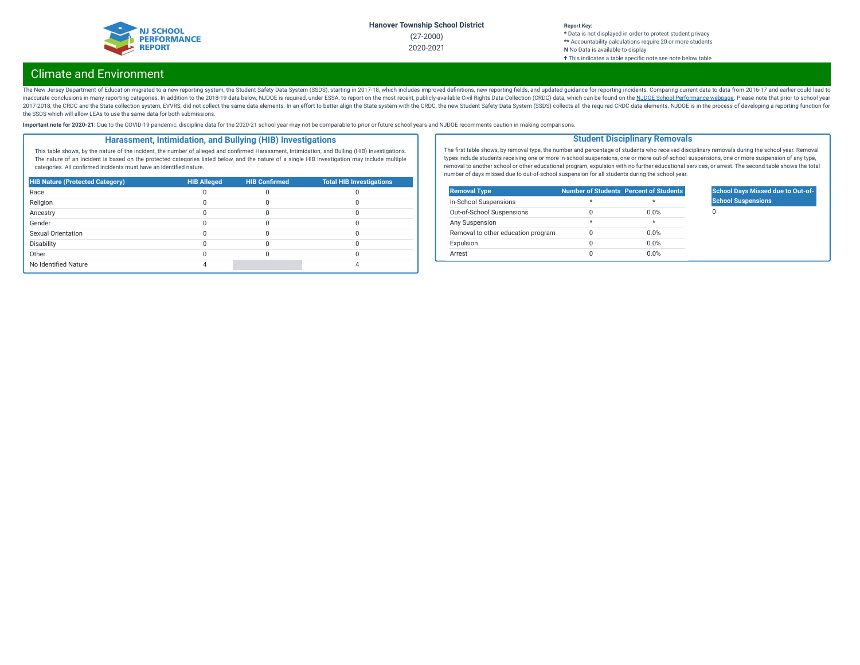

### **Report Key:**

**\*** Data is not displayed in order to protect student privacy **\*\*** Accountability calculations require 20 or more students **N** No Data is available to display **†** This indicates a table specic note,see note below table

## Climate and Environment

The New Jersey Department of Education migrated to a new reporting system, the Student Safety Data System (SSDS), starting in 2017-18, which includes improved definitions, new reporting fields, and updated guidance for rep inaccurate conclusions in many reporting categories. In addition to the 2018-19 data below, NJDOE is required, under ESSA, to report on the most recent, publicly-available Civil Rights Data Collection (CRDC) data, which ca 2017-2018, the CRDC and the State collection system, EVVRS, did not collect the same data elements. In an effort to better align the State system with the CRDC, the new Student Safety Data System (SSDS) collects all the re the SSDS which will allow LEAs to use the same data for both submissions.

Important note for 2020-21: Due to the COVID-19 pandemic, discipline data for the 2020-21 school year may not be comparable to prior or future school years and NJDOE recomments caution in making comparisons.

### **Harassment, Intimidation, and Bullying (HIB) Investigations**

This table shows, by the nature of the incident, the number of alleged and confirmed Harassment, Intimidation, and Bulling (HIB) investigations. The nature of an incident is based on the protected categories listed below, and the nature of a single HIB investigation may include multiple categories. All confirmed incidents must have an identified nature.

| <b>HIB Nature (Protected Category)</b> | <b>HIB Alleged</b> | <b>HIB Confirmed</b> | <b>Total HIB Investigations</b> |
|----------------------------------------|--------------------|----------------------|---------------------------------|
| Race                                   |                    |                      |                                 |
| Religion                               |                    |                      |                                 |
| Ancestry                               |                    |                      |                                 |
| Gender                                 |                    |                      |                                 |
| Sexual Orientation                     |                    |                      |                                 |
| Disability                             |                    |                      |                                 |
| Other                                  |                    |                      |                                 |
| No Identified Nature                   |                    |                      |                                 |

The first table shows, by removal type, the number and percentage of students who received disciplinary removals during the school year. Removal types include students receiving one or more in-school suspensions, one or more out-of-school suspensions, one or more suspension of any type, removal to another school or other educational program, expulsion with no further educational services, or arrest. The second table shows the total number of days missed due to out-of-school suspension for all students during the school year.

**Student Disciplinary Removals**

| <b>Removal Type</b>                |         | <b>Number of Students Percent of Students</b> |
|------------------------------------|---------|-----------------------------------------------|
| In-School Suspensions              | $\star$ | ÷                                             |
| Out-of-School Suspensions          |         | 0.0%                                          |
| Any Suspension                     | $\star$ | ÷                                             |
| Removal to other education program |         | 0.0%                                          |
| Expulsion                          |         | 0.0%                                          |
| Arrest                             |         | 0.0%                                          |

## **School Days Missed due to Out-of-School Suspensions**

 $\Omega$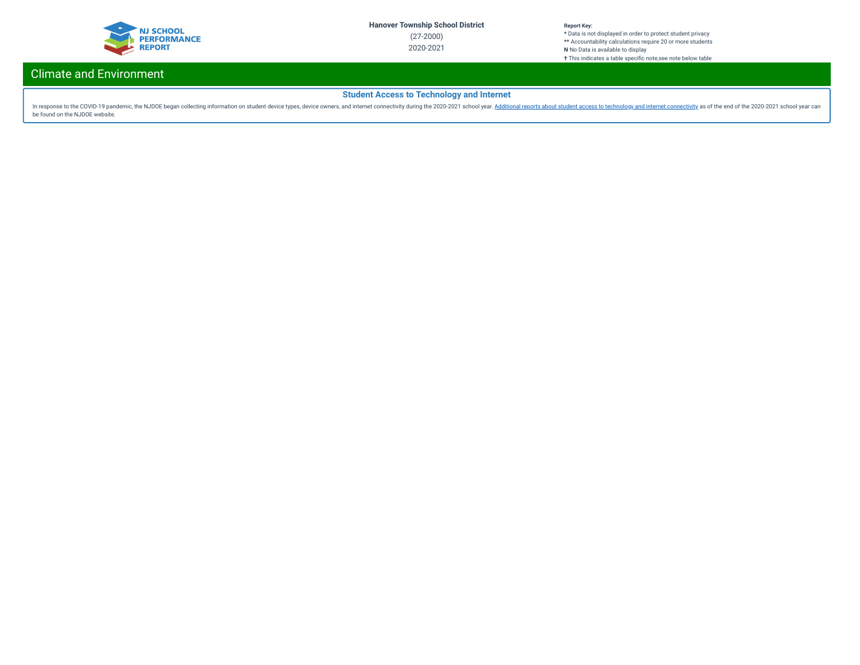

**\*** Data is not displayed in order to protect student privacy **\*\*** Accountability calculations require 20 or more students **N** No Data is available to display **†** This indicates a table specific note, see note below table

## Climate and Environment

## **Student Access to Technology and Internet**

In response to the COVID-19 pandemic, the NJDOE began collecting information on student device types, device owners, and internet [connectivity](https://www.nj.gov/education/schoolperformance/climate/docs/2020-2021%20Opportunity%20to%20Learn%20Data.xlsx) during the 2020-2021 school year about student access to technology and interne be found on the NJDOE website.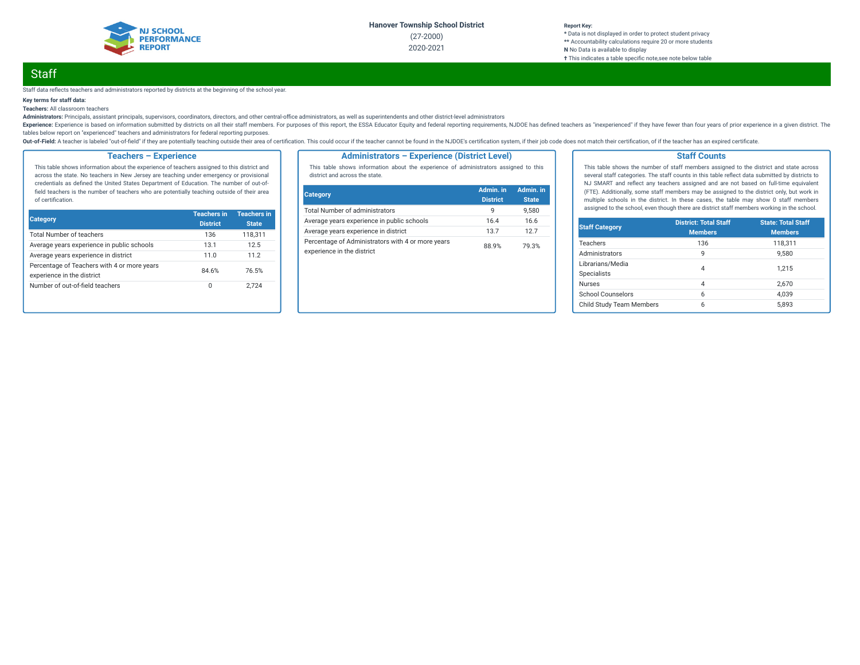

**\*** Data is not displayed in order to protect student privacy **\*\*** Accountability calculations require 20 or more students **N** No Data is available to display **†** This indicates a table specic note,see note below table

# **Staff**

Staff data reflects teachers and administrators reported by districts at the beginning of the school year.

### **Key terms for staff data:**

**Teachers:** All classroom teachers

Administrators: Principals, assistant principals, supervisors, coordinators, directors, and other central-office administrators, as well as superintendents and other district-level administrators

Experience: Experience is based on information submitted by districts on all their staff members. For purposes of this report, the ESSA Educator Equity and federal reporting requirements, NJDOE has defined teachers as "ine tables below report on "experienced" teachers and administrators for federal reporting purposes.

Out-of-Field: A teacher is labeled "out-of-field" if they are potentially teaching outside their area of certification. This could occur if the teacher cannot be found in the NJDOE's certification system, if their job code

### **Teachers – Experience**

This table shows information about the experience of teachers assigned to this district and across the state. No teachers in New Jersey are teaching under emergency or provisional credentials as defined the United States Department of Education. The number of out-offield teachers is the number of teachers who are potentially teaching outside of their area of certification.

| <b>Category</b>                                                           | <b>Teachers in</b><br><b>District</b> | <b>Teachers in</b><br><b>State</b> |
|---------------------------------------------------------------------------|---------------------------------------|------------------------------------|
| <b>Total Number of teachers</b>                                           | 136                                   | 118.311                            |
| Average years experience in public schools                                | 13.1                                  | 12.5                               |
| Average years experience in district                                      | 11.0                                  | 11.2                               |
| Percentage of Teachers with 4 or more years<br>experience in the district | 84.6%                                 | 76.5%                              |
| Number of out-of-field teachers                                           | 0                                     | 2.724                              |

#### **Administrators – Experience (District Level)**

This table shows information about the experience of administrators assigned to this district and across the state.

| <b>Category</b>                                                                 | Admin. in<br><b>District</b> | Admin. in<br><b>State</b> |
|---------------------------------------------------------------------------------|------------------------------|---------------------------|
| <b>Total Number of administrators</b>                                           | q                            | 9.580                     |
| Average years experience in public schools                                      | 16.4                         | 16.6                      |
| Average years experience in district                                            | 137                          | 127                       |
| Percentage of Administrators with 4 or more years<br>experience in the district | 88.9%                        | 79.3%                     |

#### **Staff Counts**

This table shows the number of staff members assigned to the district and state across several staff categories. The staff counts in this table reflect data submitted by districts to NJ SMART and reflect any teachers assigned and are not based on full-time equivalent (FTE). Additionally, some staff members may be assigned to the district only, but work in multiple schools in the district. In these cases, the table may show 0 staff members assigned to the school, even though there are district staff members working in the school.

| <b>Staff Category</b>                  | <b>District: Total Staff</b><br><b>Members</b> | <b>State: Total Staff</b><br><b>Members</b> |
|----------------------------------------|------------------------------------------------|---------------------------------------------|
| <b>Teachers</b>                        | 136                                            | 118.311                                     |
| Administrators                         | 9                                              | 9.580                                       |
| Librarians/Media<br><b>Specialists</b> | 4                                              | 1.215                                       |
| <b>Nurses</b>                          | 4                                              | 2.670                                       |
| School Counselors                      | 6                                              | 4.039                                       |
| Child Study Team Members               | 6                                              | 5.893                                       |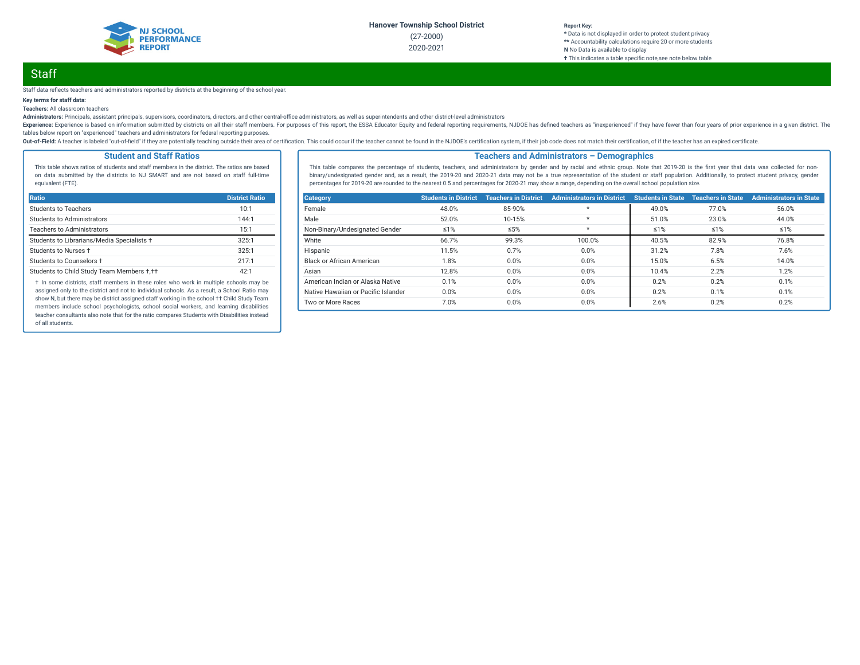

## **Report Key:**

**\*** Data is not displayed in order to protect student privacy **\*\*** Accountability calculations require 20 or more students **N** No Data is available to display **†** This indicates a table specic note,see note below table

# **Staff**

Staff data reflects teachers and administrators reported by districts at the beginning of the school year.

### **Key terms for staff data:**

**Teachers:** All classroom teachers

Administrators: Principals, assistant principals, supervisors, coordinators, directors, and other central-office administrators, as well as superintendents and other district-level administrators

Experience: Experience is based on information submitted by districts on all their staff members. For purposes of this report, the ESSA Educator Equity and federal reporting requirements, NJDOE has defined teachers as "ine tables below report on "experienced" teachers and administrators for federal reporting purposes.

Out-of-Field: A teacher is labeled "out-of-field" if they are potentially teaching outside their area of certification. This could occur if the teacher cannot be found in the NJDOE's certification system, if their job code

### **Student and Staff Ratios**

This table shows ratios of students and staff members in the district. The ratios are based on data submitted by the districts to NJ SMART and are not based on staff full-time equivalent (FTE).

| <b>Ratio</b>                               | <b>District Ratio</b> |
|--------------------------------------------|-----------------------|
| Students to Teachers                       | 10:1                  |
| Students to Administrators                 | 144:1                 |
| <b>Teachers to Administrators</b>          | 15:1                  |
| Students to Librarians/Media Specialists + | 325:1                 |
| Students to Nurses +                       | 325:1                 |
| Students to Counselors +                   | 217.1                 |
| Students to Child Study Team Members +,++  | 42:1                  |

† In some districts, staff members in these roles who work in multiple schools may be assigned only to the district and not to individual schools. As a result, a School Ratio may show N, but there may be district assigned staff working in the school †† Child Study Team members include school psychologists, school social workers, and learning disabilities teacher consultants also note that for the ratio compares Students with Disabilities instead of all students.

#### **Teachers and Administrators – Demographics**

This table compares the percentage of students, teachers, and administrators by gender and by racial and ethnic group. Note that 2019-20 is the first year that data was collected for nonbinary/undesignated gender and, as a result, the 2019-20 and 2020-21 data may not be a true representation of the student or staff population. Additionally, to protect student privacy, gender percentages for 2019-20 are rounded to the nearest 0.5 and percentages for 2020-21 may show a range, depending on the overall school population size.

| <b>Category</b>                     | <b>Students in District</b> | <b>Teachers in District</b> | <b>Administrators in District</b> | <b>Students in State</b> | <b>Teachers in State</b> | <b>Administrators in State</b> |
|-------------------------------------|-----------------------------|-----------------------------|-----------------------------------|--------------------------|--------------------------|--------------------------------|
| Female                              | 48.0%                       | 85-90%                      | $\star$                           | 49.0%                    | 77.0%                    | 56.0%                          |
| Male                                | 52.0%                       | 10-15%                      | $\star$                           | 51.0%                    | 23.0%                    | 44.0%                          |
| Non-Binary/Undesignated Gender      | $\leq 1\%$                  | ≤5%                         | $\star$                           | $\leq 1\%$               | $\leq 1\%$               | $\leq 1\%$                     |
| White                               | 66.7%                       | 99.3%                       | 100.0%                            | 40.5%                    | 82.9%                    | 76.8%                          |
| Hispanic                            | 11.5%                       | 0.7%                        | 0.0%                              | 31.2%                    | 7.8%                     | 7.6%                           |
| Black or African American           | 1.8%                        | 0.0%                        | 0.0%                              | 15.0%                    | 6.5%                     | 14.0%                          |
| Asian                               | 12.8%                       | 0.0%                        | 0.0%                              | 10.4%                    | 2.2%                     | 1.2%                           |
| American Indian or Alaska Native    | 0.1%                        | 0.0%                        | 0.0%                              | 0.2%                     | 0.2%                     | 0.1%                           |
| Native Hawaiian or Pacific Islander | 0.0%                        | 0.0%                        | 0.0%                              | 0.2%                     | 0.1%                     | 0.1%                           |
| Two or More Races                   | 7.0%                        | 0.0%                        | 0.0%                              | 2.6%                     | 0.2%                     | 0.2%                           |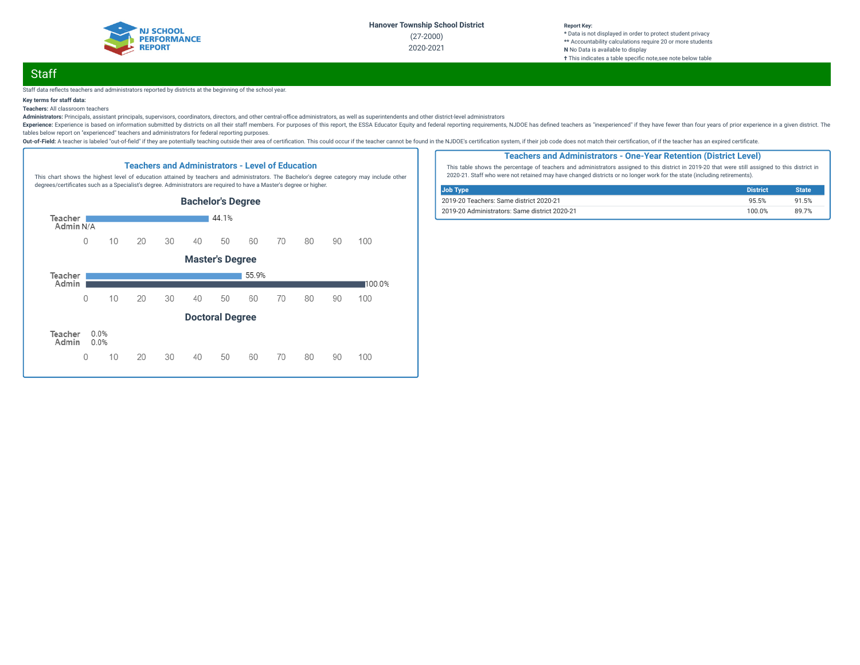

#### **Report Key:**

**\*** Data is not displayed in order to protect student privacy **\*\*** Accountability calculations require 20 or more students **N** No Data is available to display **†** This indicates a table specic note,see note below table

# **Staff**

#### Staff data reflects teachers and administrators reported by districts at the beginning of the school year.

### **Key terms for staff data:**

**Teachers:** All classroom teachers

Administrators: Principals, assistant principals, supervisors, coordinators, directors, and other central-office administrators, as well as superintendents and other district-level administrators

Experience: Experience is based on information submitted by districts on all their staff members. For purposes of this report, the ESSA Educator Equity and federal reporting requirements, NJDOE has defined teachers as "ine tables below report on "experienced" teachers and administrators for federal reporting purposes.

Out-of-Field: A teacher is labeled "out-of-field" if they are potentially teaching outside their area of certification. This could occur if the teacher cannot be found in the NJDOE's certification system, if their job code



#### **Teachers and Administrators - One-Year Retention (District Level)**

This table shows the percentage of teachers and administrators assigned to this district in 2019-20 that were still assigned to this district in 2020-21. Staff who were not retained may have changed districts or no longer work for the state (including retirements).

| Job Type                                      | <b>District</b> | <b>State</b> |
|-----------------------------------------------|-----------------|--------------|
| 2019-20 Teachers: Same district 2020-21       | 95.5%           | 91.5%        |
| 2019-20 Administrators: Same district 2020-21 | 100.0%          | 89 7%        |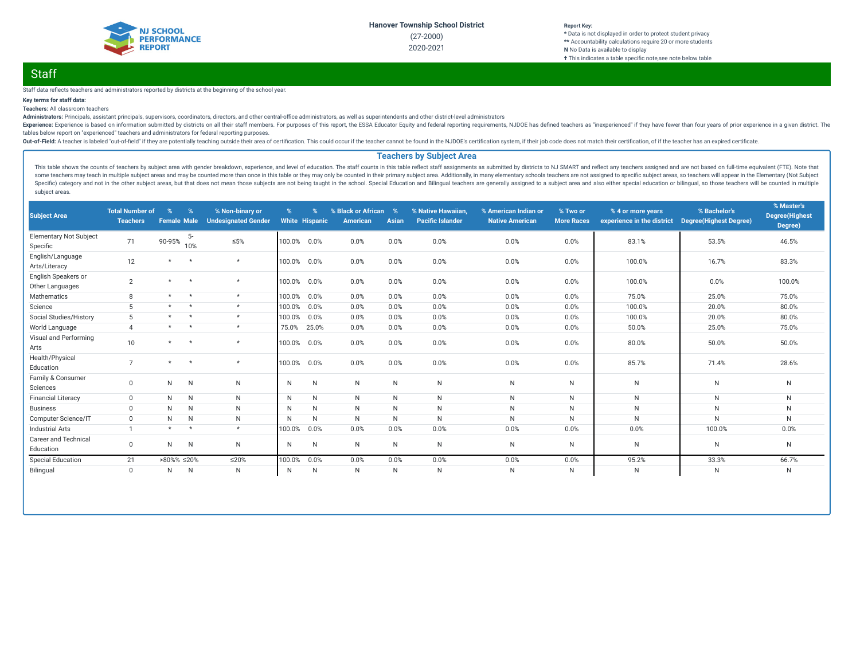

#### **Report Key: \*** Data is not displayed in order to protect student privacy **\*\*** Accountability calculations require 20 or more students **N** No Data is available to display **†** This indicates a table specific note, see note below table

# **Staff**

#### Staff data reflects teachers and administrators reported by districts at the beginning of the school year.

### **Key terms for staff data:**

**Teachers:** All classroom teachers

Administrators: Principals, assistant principals, supervisors, coordinators, directors, and other central-office administrators, as well as superintendents and other district-level administrators

Experience: Experience is based on information submitted by districts on all their staff members. For purposes of this report, the ESSA Educator Equity and federal reporting requirements, NJDOE has defined teachers as "ine tables below report on "experienced" teachers and administrators for federal reporting purposes.

Out-of-Field: A teacher is labeled "out-of-field" if they are potentially teaching outside their area of certification. This could occur if the teacher cannot be found in the NJDOE's certification system, if their job code

### **Teachers by Subject Area**

This table shows the counts of teachers by subject area with gender breakdown, experience, and level of education. The staff counts in this table reflect staff assignments as submitted by districts to NJ SMART and reflect some teachers may teach in multiple subject areas and may be counted more than once in this table or they may only be counted in their primary subject area. Additionally, in many elementary schools teachers are not assigne Specific) category and not in the other subject areas, but that does not mean those subjects are not being taught in the school. Special Education and Bilingual teachers are generally assigned to a subject area and also ei subject areas.

| <b>Subject Area</b>                       | <b>Total Number of</b><br><b>Teachers</b> | $\%$<br><b>Female Male</b> | $\%$         | % Non-binary or<br><b>Undesignated Gender</b> | $\%$   | $\frac{9}{6}$<br><b>White Hispanic</b> | % Black or African<br><b>American</b> | %<br><b>Asian</b> | % Native Hawaiian<br><b>Pacific Islander</b> | % American Indian or<br><b>Native American</b> | % Two or<br><b>More Races</b> | % 4 or more years<br>experience in the district | % Bachelor's<br><b>Degree(Highest Degree)</b> | % Master's<br><b>Degree</b> (Highest<br>Degree) |
|-------------------------------------------|-------------------------------------------|----------------------------|--------------|-----------------------------------------------|--------|----------------------------------------|---------------------------------------|-------------------|----------------------------------------------|------------------------------------------------|-------------------------------|-------------------------------------------------|-----------------------------------------------|-------------------------------------------------|
| <b>Elementary Not Subject</b><br>Specific | 71                                        | 90-95%                     | $5-$<br>10%  | $\leq 5\%$                                    | 100.0% | 0.0%                                   | 0.0%                                  | 0.0%              | 0.0%                                         | 0.0%                                           | 0.0%                          | 83.1%                                           | 53.5%                                         | 46.5%                                           |
| English/Language<br>Arts/Literacy         | 12                                        | $\star$                    | $\star$      | $\star$                                       | 100.0% | 0.0%                                   | 0.0%                                  | 0.0%              | 0.0%                                         | 0.0%                                           | 0.0%                          | 100.0%                                          | 16.7%                                         | 83.3%                                           |
| English Speakers or<br>Other Languages    | $\overline{2}$                            | $\star$                    | $\star$      | $\star$                                       | 100.0% | 0.0%                                   | 0.0%                                  | 0.0%              | 0.0%                                         | 0.0%                                           | 0.0%                          | 100.0%                                          | 0.0%                                          | 100.0%                                          |
| Mathematics                               | 8                                         | $\star$                    | $\star$      | $\star$                                       | 100.0% | 0.0%                                   | 0.0%                                  | 0.0%              | 0.0%                                         | 0.0%                                           | 0.0%                          | 75.0%                                           | 25.0%                                         | 75.0%                                           |
| Science                                   | 5                                         | $\star$                    | $\star$      | $\star$                                       | 100.0% | 0.0%                                   | 0.0%                                  | 0.0%              | 0.0%                                         | 0.0%                                           | 0.0%                          | 100.0%                                          | 20.0%                                         | 80.0%                                           |
| Social Studies/History                    | 5                                         | $\star$                    | $\star$      | $\star$                                       | 100.0% | 0.0%                                   | 0.0%                                  | 0.0%              | 0.0%                                         | 0.0%                                           | 0.0%                          | 100.0%                                          | 20.0%                                         | 80.0%                                           |
| World Language                            | $\Delta$                                  | $\star$                    | $\star$      | $\star$                                       | 75.0%  | 25.0%                                  | 0.0%                                  | 0.0%              | 0.0%                                         | 0.0%                                           | 0.0%                          | 50.0%                                           | 25.0%                                         | 75.0%                                           |
| Visual and Performing<br>Arts             | 10 <sup>1</sup>                           | $\star$                    | $\star$      | $\star$                                       | 100.0% | 0.0%                                   | 0.0%                                  | 0.0%              | 0.0%                                         | 0.0%                                           | 0.0%                          | 80.0%                                           | 50.0%                                         | 50.0%                                           |
| Health/Physical<br>Education              | $\overline{ }$                            | $\star$                    | $\star$      | $\star$                                       | 100.0% | 0.0%                                   | 0.0%                                  | 0.0%              | 0.0%                                         | 0.0%                                           | 0.0%                          | 85.7%                                           | 71.4%                                         | 28.6%                                           |
| Family & Consumer<br>Sciences             | $\mathbf 0$                               | N                          | $\mathsf{N}$ | N                                             | N      | N                                      | N                                     | N                 | $\mathsf{N}$                                 | ${\sf N}$                                      | N.                            | N                                               | N                                             | N                                               |
| <b>Financial Literacy</b>                 | $\mathbf{0}$                              | N                          | $\mathsf{N}$ | N                                             | N      | N                                      | N                                     | N                 | $\mathsf{N}$                                 | $\mathsf{N}$                                   | N                             | N                                               | N                                             | N                                               |
| <b>Business</b>                           | $\Omega$                                  | N                          | $\mathsf{N}$ | N                                             | N      | N                                      | N                                     | N                 | $\mathsf{N}$                                 | $\mathsf{N}$                                   | N                             | N                                               | $\mathsf{N}$                                  | N                                               |
| Computer Science/IT                       | $\mathbf{0}$                              | N                          | $\mathsf{N}$ | N                                             | N      | N                                      | N                                     | N                 | $\mathsf{N}$                                 | $\mathsf{N}$                                   | N                             | N                                               | N                                             | N                                               |
| <b>Industrial Arts</b>                    |                                           | $\star$                    | $\star$      | $\star$                                       | 100.0% | 0.0%                                   | 0.0%                                  | 0.0%              | 0.0%                                         | 0.0%                                           | 0.0%                          | 0.0%                                            | 100.0%                                        | 0.0%                                            |
| <b>Career and Technical</b><br>Education  | $\mathbf 0$                               | N                          | N            | N                                             | N      | N                                      | N                                     | N                 | N                                            | $\mathsf{N}$                                   | N                             | N                                               | N                                             | $\mathsf{N}$                                    |
| <b>Special Education</b>                  | 21                                        | >80%% ≤20%                 |              | ≤20%                                          | 100.0% | 0.0%                                   | 0.0%                                  | 0.0%              | 0.0%                                         | 0.0%                                           | 0.0%                          | 95.2%                                           | 33.3%                                         | 66.7%                                           |
| Bilingual                                 | $\mathbf{0}$                              | N                          | $\mathsf{N}$ | N                                             | N      | N                                      | N                                     | N                 | $\mathsf{N}$                                 | $\mathsf{N}$                                   | N                             | N                                               | N                                             | N                                               |
|                                           |                                           |                            |              |                                               |        |                                        |                                       |                   |                                              |                                                |                               |                                                 |                                               |                                                 |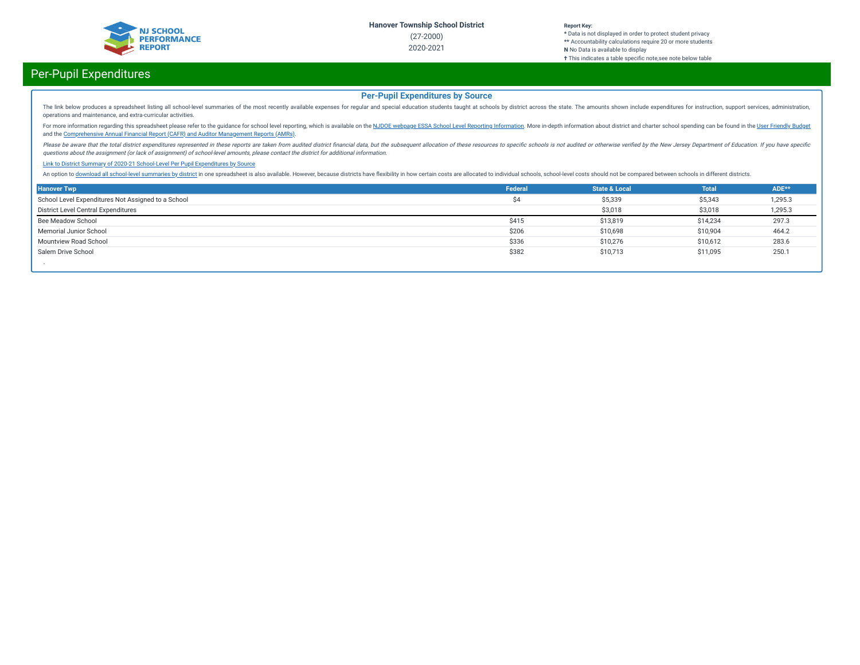

## Per-Pupil Expenditures

### **Per-Pupil Expenditures by Source**

The link below produces a spreadsheet listing all school-level summaries of the most recently available expenses for regular and special education students taught at schools by district across the state. The amounts shown operations and maintenance, and extra-curricular activities.

For more information regarding this spreadsheet please refer to the guidance for school level reporting, which is available on the NJDOE webpage ESSA School Level Reporting [Information](https://www.nj.gov/education/finance/fp/af/essa.shtml). More in-depth information about dist and the [Comprehensive](https://www.nj.gov/education/finance/fp/cafr/search/) Annual Financial Report (CAFR) and Auditor Management Reports (AMRs).

Please be aware that the total district expenditures represented in these reports are taken from audited district financial data, but the subsequent allocation of these resources to specific schools is not audited or other questions about the assignment (or lack of assignment) of school-level amounts, please contact the district for additional information.

#### Link to District Summary of [2020-21 School-Level](https://homeroom4.doe.state.nj.us/audsum/PpeReport?&did=2000&fileformat=html&reportname=PERFORMREPORT&fy=21) Per Pupil Expenditures by Source

An option to download all [school-level](https://homeroom4.doe.state.nj.us/audsum/PpeReport?&did=9999&fileformat=html&reportname=PERFORMREPORT&fy=21) summaries by district in one spreadsheet is also available. However, because districts have flexibility in how certain costs are allocated to individual schools, school-level costs sh

| <b>Hanover Twp</b>                                 | Federal | <b>State &amp; Local</b> | <b>Total</b> | ADE**   |
|----------------------------------------------------|---------|--------------------------|--------------|---------|
| School Level Expenditures Not Assigned to a School | Ś4      | \$5,339                  | \$5,343      | 1,295.3 |
| District Level Central Expenditures                |         | \$3,018                  | \$3,018      | 1,295.3 |
| Bee Meadow School                                  | \$415   | \$13,819                 | \$14,234     | 297.3   |
| Memorial Junior School                             | \$206   | \$10,698                 | \$10,904     | 464.2   |
| Mountview Road School                              | \$336   | \$10,276                 | \$10,612     | 283.6   |
| Salem Drive School                                 | \$382   | \$10,713                 | \$11,095     | 250.1   |
|                                                    |         |                          |              |         |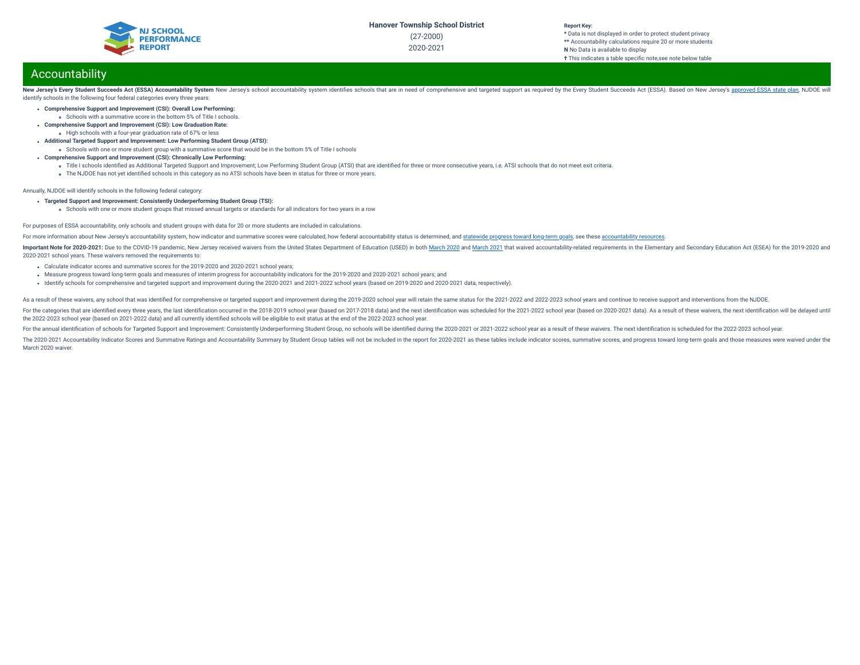

**\*** Data is not displayed in order to protect student privacy **\*\*** Accountability calculations require 20 or more students **N** No Data is available to display **†** This indicates a table specific note, see note below table

## Accountability

New Jersey's Every Student Succeeds Act (ESSA) Accountability System New Jersey's school accountability system identifies schools that are in need of comprehensive and targeted support as required by the Every Student Succ identify schools in the following four federal categories every three years:

- **Comprehensive Support and Improvement (CSI): Overall Low Performing:**
	- Schools with a summative score in the bottom 5% of Title I schools.
- **Comprehensive Support and Improvement (CSI): Low Graduation Rate:** High schools with a four-year graduation rate of 67% or less
- **Additional Targeted Support and Improvement: Low Performing Student Group (ATSI):**
- Schools with one or more student group with a summative score that would be in the bottom 5% of Title I schools
- **Comprehensive Support and Improvement (CSI): Chronically Low Performing:**
	- o Title I schools identified as Additional Targeted Support and Improvement; Low Performing Student Group (ATSI) that are identified for three or more consecutive years, i.e. ATSI schools that do not meet exit criteria.
	- The NJDOE has not yet identified schools in this category as no ATSI schools have been in status for three or more years.

Annually, NJDOE will identify schools in the following federal category:

- **Targeted Support and Improvement: Consistently Underperforming Student Group (TSI):**
	- schools with one or more student groups that missed annual targets or standards for all indicators for two years in a row

#### For purposes of ESSA accountability, only schools and student groups with data for 20 or more students are included in calculations.

For more information about New Jersey's accountability system, how indicator and summative scores were calculated, how federal accountability status is determined, and [statewide](https://www.state.nj.us/education/title1/accountability/progress/19/2018-19%20Statewide%20Progress%20toward%20Long-Term%20Goals.pdf) progress toward long-term goals, see these a

Important Note for 2020-2021: Due to the COVID-19 pandemic, New Jersey received waivers from the United States Department of Education (USED) in both [March](https://oese.ed.gov/files/2021/03/nj-acct-waiver-response-1.pdf) 2020 and March 2021 that waived accountability-related requirement 2020-2021 school years. These waivers removed the requirements to:

- Calculate indicator scores and summative scores for the 2019-2020 and 2020-2021 school years;
- Measure progress toward long-term goals and measures of interim progress for accountability indicators for the 2019-2020 and 2020-2021 school years; and
- Identify schools for comprehensive and targeted support and improvement during the 2020-2021 and 2021-2022 school years (based on 2019-2020 and 2020-2021 data, respectively).

As a result of these waivers, any school that was identified for comprehensive or targeted support and improvement during the 2019-2020 school year will retain the same status for the 2021-2022 and 2022-2023 school years a

For the categories that are identified every three vears, the last identification occurred in the 2018-2019 school year (based on 2017-2018 data) and the next identification was scheduled for the 2021-2022 school year (bas the 2022-2023 school year (based on 2021-2022 data) and all currently identied schools will be eligible to exit status at the end of the 2022-2023 school year.

For the annual identification of schools for Targeted Support and Improvement: Consistently Underperforming Student Group, no schools will be identified during the 2020-2021 or 2021-2022 school year as a result of these wa

The 2020-2021 Accountability Indicator Scores and Summative Ratings and Accountability Summary by Student Group tables will not be included in the report for 2020-2021 as these tables include indicator scores, summative sc March 2020 waiver.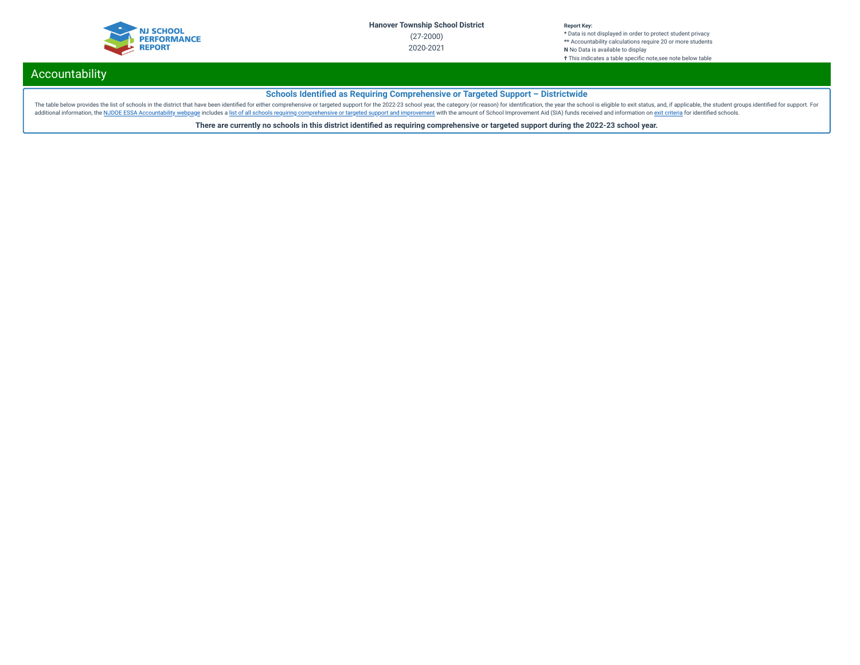

# Accountability

### **Schools Identified as Requiring Comprehensive or Targeted Support - Districtwide**

The table below provides the list of schools in the district that have been identified for either comprehensive or targeted support for the 2022-23 school year, the category (or reason) for identification, the year the sch additional information, the NJDOE ESSA [Accountability](https://www.state.nj.us/education/title1/accountability/progress/20/) webpage includes a list of all schools requiring [comprehensive](https://www.state.nj.us/education/title1/accountability/progress/19/CAP%20Comprehensive_Targeted_Schools.xlsx) or targeted support and improvement with the amount of School Improvement Aid (SIA) funds received and in

**There are currently no schools in this district identied as requiring comprehensive or targeted support during the 2022-23 school year.**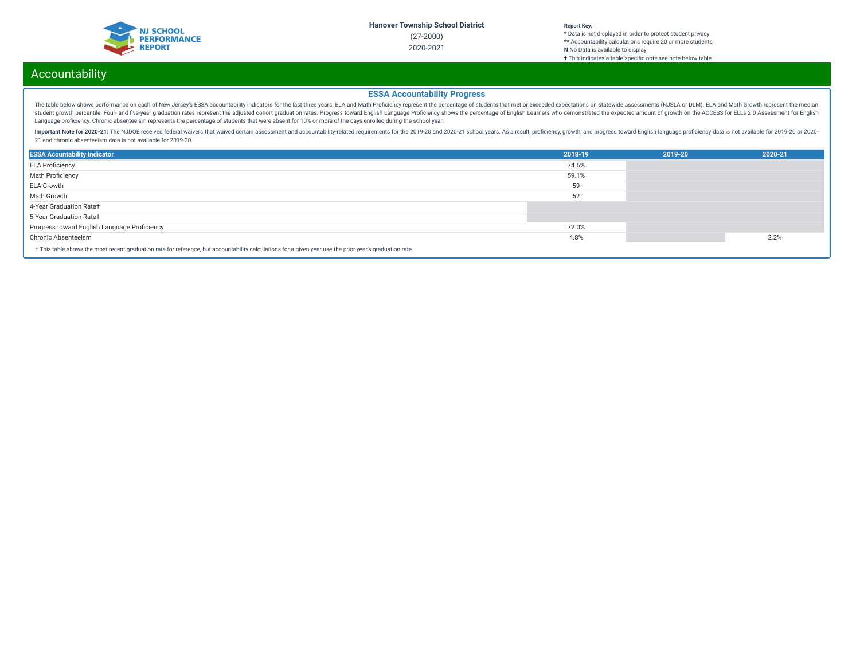

# Accountability

### **ESSA Accountability Progress**

The table below shows performance on each of New Jersey's ESSA accountability indicators for the last three years. ELA and Math Proficiency represent the percentage of students that met or exceeded expectations on statewid student growth percentile. Four- and five-year graduation rates represent the adjusted cohort graduation rates. Progress toward English Language Proficiency shows the percentage of English Learners who demonstrated the exp Language proficiency. Chronic absenteeism represents the percentage of students that were absent for 10% or more of the days enrolled during the school year.

Important Note for 2020-21: The NJDOE received federal waivers that waived certain assessment and accountability-related requirements for the 2019-20 and 2020-21 school years. As a result, proficiency, growth, and progress 21 and chronic absenteeism data is not available for 2019-20.

| <b>ESSA Acountability Indicator</b>                                                                                                                      | 2018-19 | 2019-20 | 2020-21 |  |
|----------------------------------------------------------------------------------------------------------------------------------------------------------|---------|---------|---------|--|
| <b>ELA Proficiency</b>                                                                                                                                   | 74.6%   |         |         |  |
| <b>Math Proficiency</b>                                                                                                                                  | 59.1%   |         |         |  |
| <b>ELA Growth</b>                                                                                                                                        | 59      |         |         |  |
| Math Growth                                                                                                                                              | 52      |         |         |  |
| 4-Year Graduation Rate+                                                                                                                                  |         |         |         |  |
| 5-Year Graduation Rate†                                                                                                                                  |         |         |         |  |
| Progress toward English Language Proficiency                                                                                                             | 72.0%   |         |         |  |
| Chronic Absenteeism                                                                                                                                      | 4.8%    |         | 2.2%    |  |
| + This table shows the most recent graduation rate for reference, but accountability calculations for a given year use the prior year's graduation rate. |         |         |         |  |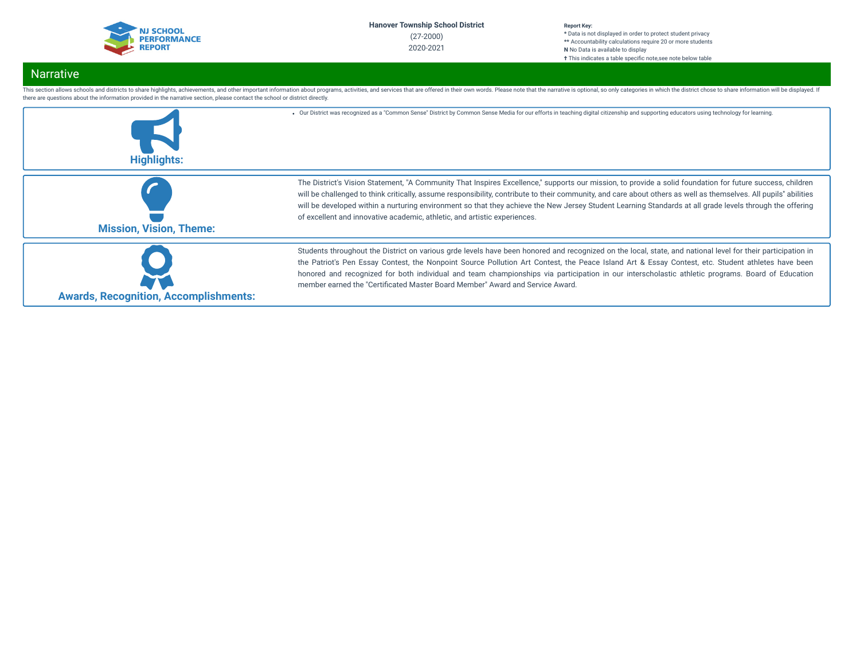

# Narrative

| <b>Highlights:</b>                           | . Our District was recognized as a "Common Sense" District by Common Sense Media for our efforts in teaching digital citizenship and supporting educators using technology for learning.                                                                                                                                                                                                                                                                                                                                                                               |
|----------------------------------------------|------------------------------------------------------------------------------------------------------------------------------------------------------------------------------------------------------------------------------------------------------------------------------------------------------------------------------------------------------------------------------------------------------------------------------------------------------------------------------------------------------------------------------------------------------------------------|
| <b>Mission, Vision, Theme:</b>               | The District's Vision Statement, "A Community That Inspires Excellence," supports our mission, to provide a solid foundation for future success, children<br>will be challenged to think critically, assume responsibility, contribute to their community, and care about others as well as themselves. All pupils" abilities<br>will be developed within a nurturing environment so that they achieve the New Jersey Student Learning Standards at all grade levels through the offering<br>of excellent and innovative academic, athletic, and artistic experiences. |
| <b>Awards, Recognition, Accomplishments:</b> | Students throughout the District on various grde levels have been honored and recognized on the local, state, and national level for their participation in<br>the Patriot's Pen Essay Contest, the Nonpoint Source Pollution Art Contest, the Peace Island Art & Essay Contest, etc. Student athletes have been<br>honored and recognized for both individual and team championships via participation in our interscholastic athletic programs. Board of Education<br>member earned the "Certificated Master Board Member" Award and Service Award.                  |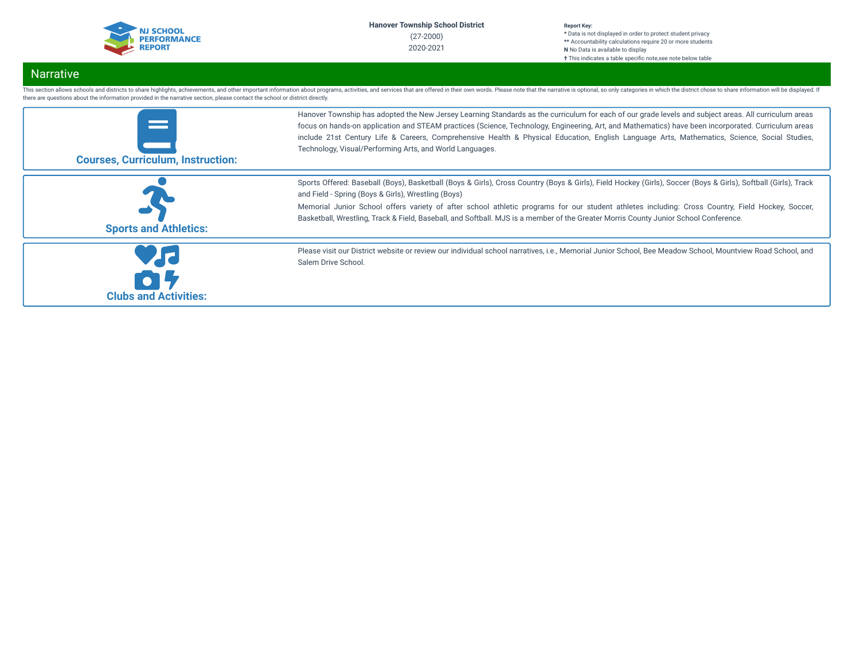| <b>NJ SCHOOL</b>   |
|--------------------|
| <b>PERFORMANCE</b> |
|                    |
| <b>REPORT</b>      |
|                    |

# Narrative

| <b>Clubs and Activities:</b>             | Salem Drive School.                                                                                                                                                                                                                                                                                                                                                                                                                                                                                                      |
|------------------------------------------|--------------------------------------------------------------------------------------------------------------------------------------------------------------------------------------------------------------------------------------------------------------------------------------------------------------------------------------------------------------------------------------------------------------------------------------------------------------------------------------------------------------------------|
|                                          | Please visit our District website or review our individual school narratives, i.e., Memorial Junior School, Bee Meadow School, Mountview Road School, and                                                                                                                                                                                                                                                                                                                                                                |
| <b>Sports and Athletics:</b>             | Sports Offered: Baseball (Boys), Basketball (Boys & Girls), Cross Country (Boys & Girls), Field Hockey (Girls), Soccer (Boys & Girls), Softball (Girls), Track<br>and Field - Spring (Boys & Girls), Wrestling (Boys)<br>Memorial Junior School offers variety of after school athletic programs for our student athletes including: Cross Country, Field Hockey, Soccer,<br>Basketball, Wrestling, Track & Field, Baseball, and Softball. MJS is a member of the Greater Morris County Junior School Conference.        |
| <b>Courses, Curriculum, Instruction:</b> | Hanover Township has adopted the New Jersey Learning Standards as the curriculum for each of our grade levels and subject areas. All curriculum areas<br>focus on hands-on application and STEAM practices (Science, Technology, Engineering, Art, and Mathematics) have been incorporated. Curriculum areas<br>include 21st Century Life & Careers, Comprehensive Health & Physical Education, English Language Arts, Mathematics, Science, Social Studies,<br>Technology, Visual/Performing Arts, and World Languages. |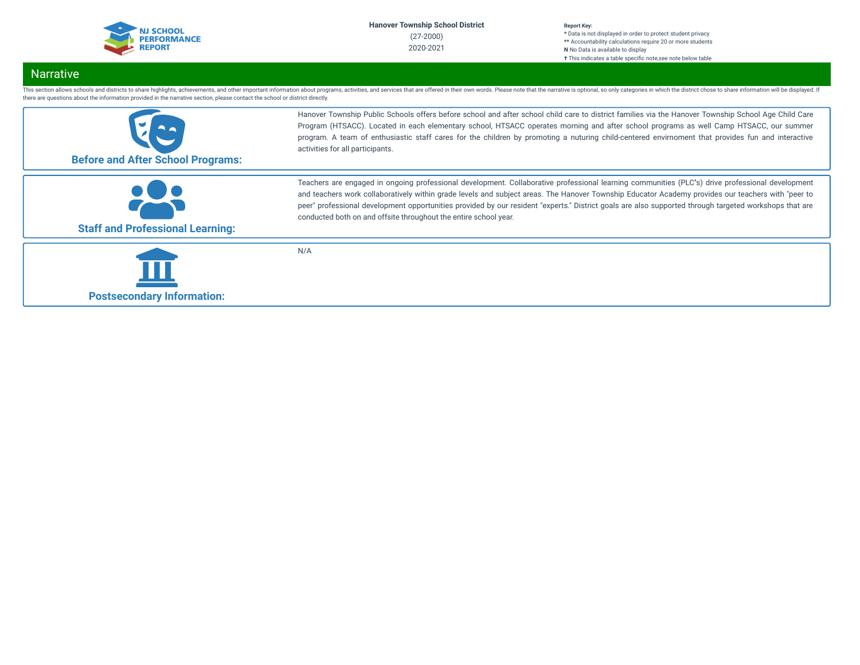| <b>NJ SCHOOL</b>   |  |
|--------------------|--|
| <b>PERFORMANCE</b> |  |
| <b>REPORT</b>      |  |

# Narrative

| <b>Before and After School Programs:</b> | Hanover Township Public Schools offers before school and after school child care to district families via the Hanover Township School Age Child Care<br>Program (HTSACC). Located in each elementary school, HTSACC operates morning and after school programs as well Camp HTSACC, our summer<br>program. A team of enthusiastic staff cares for the children by promoting a nuturing child-centered envirnoment that provides fun and interactive<br>activities for all participants.                                              |
|------------------------------------------|--------------------------------------------------------------------------------------------------------------------------------------------------------------------------------------------------------------------------------------------------------------------------------------------------------------------------------------------------------------------------------------------------------------------------------------------------------------------------------------------------------------------------------------|
| <b>Staff and Professional Learning:</b>  | Teachers are engaged in ongoing professional development. Collaborative professional learning communities (PLC's) drive professional development<br>and teachers work collaboratively within grade levels and subject areas. The Hanover Township Educator Academy provides our teachers with "peer to<br>peer" professional development opportunities provided by our resident "experts." District goals are also supported through targeted workshops that are<br>conducted both on and offsite throughout the entire school year. |
| <b>Postsecondary Information:</b>        | N/A                                                                                                                                                                                                                                                                                                                                                                                                                                                                                                                                  |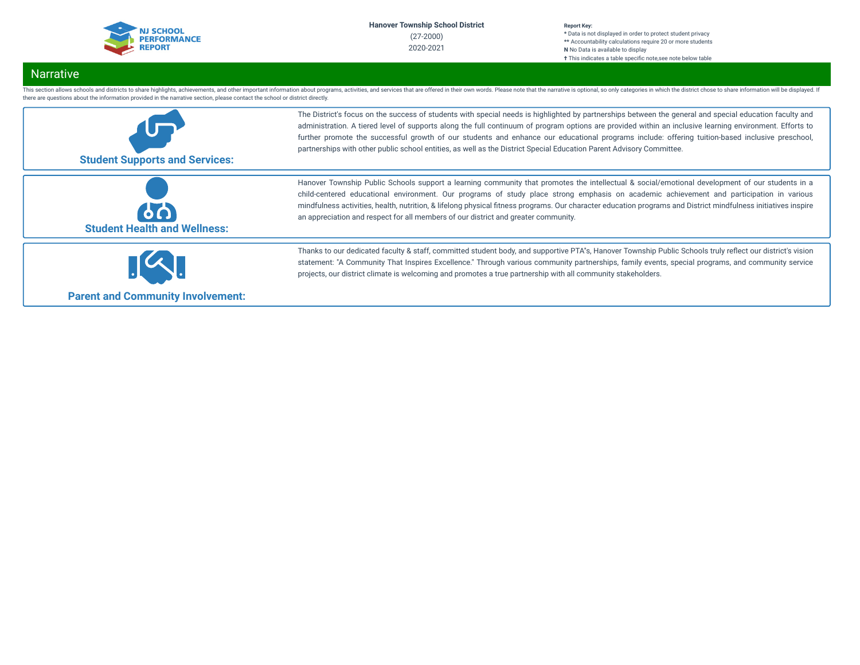| <b>NJ SCHOOL</b>   |
|--------------------|
| <b>PERFORMANCE</b> |
| <b>REPORT</b>      |
|                    |

# Narrative

| <b>Student Supports and Services:</b>     | The District's focus on the success of students with special needs is highlighted by partnerships between the general and special education faculty and<br>administration. A tiered level of supports along the full continuum of program options are provided within an inclusive learning environment. Efforts to<br>further promote the successful growth of our students and enhance our educational programs include: offering tuition-based inclusive preschool,<br>partnerships with other public school entities, as well as the District Special Education Parent Advisory Committee. |
|-------------------------------------------|------------------------------------------------------------------------------------------------------------------------------------------------------------------------------------------------------------------------------------------------------------------------------------------------------------------------------------------------------------------------------------------------------------------------------------------------------------------------------------------------------------------------------------------------------------------------------------------------|
| 60<br><b>Student Health and Wellness:</b> | Hanover Township Public Schools support a learning community that promotes the intellectual & social/emotional development of our students in a<br>child-centered educational environment. Our programs of study place strong emphasis on academic achievement and participation in various<br>mindfulness activities, health, nutrition, & lifelong physical fitness programs. Our character education programs and District mindfulness initiatives inspire<br>an appreciation and respect for all members of our district and greater community.                                            |
| <b>Parent and Community Involvement:</b>  | Thanks to our dedicated faculty & staff, committed student body, and supportive PTA's, Hanover Township Public Schools truly reflect our district's vision<br>statement: "A Community That Inspires Excellence." Through various community partnerships, family events, special programs, and community service<br>projects, our district climate is welcoming and promotes a true partnership with all community stakeholders.                                                                                                                                                                |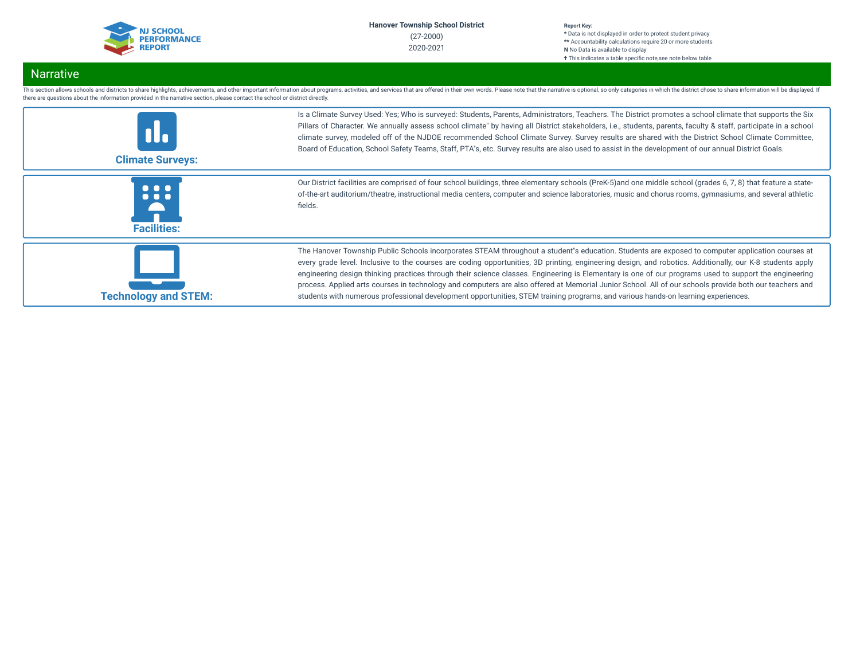| <b>NJ SCHOOL</b>   |
|--------------------|
| <b>PERFORMANCE</b> |
| <b>REPORT</b>      |
|                    |

# Narrative

| <b>Climate Surveys:</b>      | Is a Climate Survey Used: Yes; Who is surveyed: Students, Parents, Administrators, Teachers. The District promotes a school climate that supports the Six<br>Pillars of Character. We annually assess school climate" by having all District stakeholders, i.e., students, parents, faculty & staff, participate in a school<br>climate survey, modeled off of the NJDOE recommended School Climate Survey. Survey results are shared with the District School Climate Committee,<br>Board of Education, School Safety Teams, Staff, PTA's, etc. Survey results are also used to assist in the development of our annual District Goals.                                                                                                                              |
|------------------------------|-----------------------------------------------------------------------------------------------------------------------------------------------------------------------------------------------------------------------------------------------------------------------------------------------------------------------------------------------------------------------------------------------------------------------------------------------------------------------------------------------------------------------------------------------------------------------------------------------------------------------------------------------------------------------------------------------------------------------------------------------------------------------|
| .<br>.<br><b>Facilities:</b> | Our District facilities are comprised of four school buildings, three elementary schools (PreK-5) and one middle school (grades 6, 7, 8) that feature a state-<br>of-the-art auditorium/theatre, instructional media centers, computer and science laboratories, music and chorus rooms, gymnasiums, and several athletic<br>fields.                                                                                                                                                                                                                                                                                                                                                                                                                                  |
| <b>Technology and STEM:</b>  | The Hanover Township Public Schools incorporates STEAM throughout a student"s education. Students are exposed to computer application courses at<br>every grade level. Inclusive to the courses are coding opportunities, 3D printing, engineering design, and robotics. Additionally, our K-8 students apply<br>engineering design thinking practices through their science classes. Engineering is Elementary is one of our programs used to support the engineering<br>process. Applied arts courses in technology and computers are also offered at Memorial Junior School. All of our schools provide both our teachers and<br>students with numerous professional development opportunities, STEM training programs, and various hands-on learning experiences. |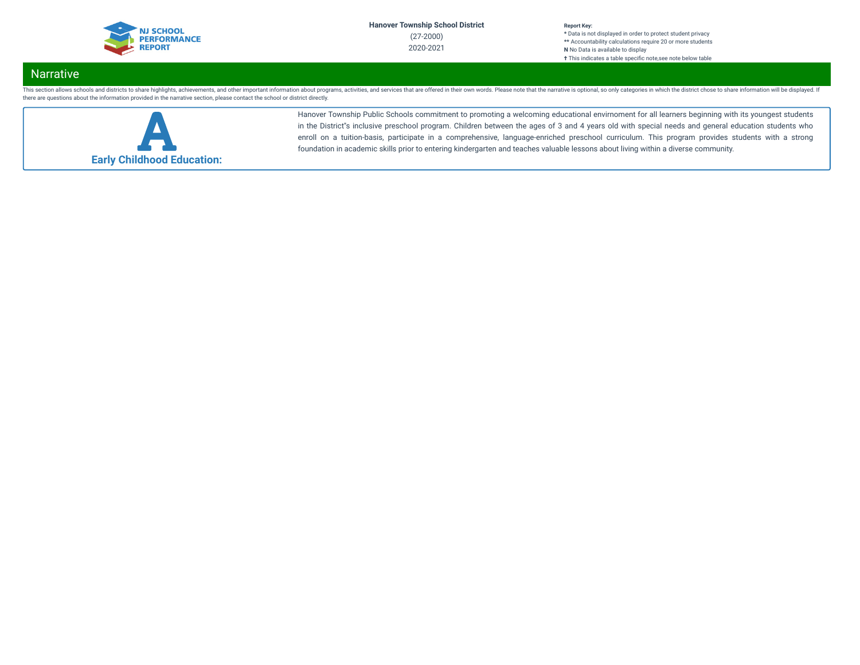

# Narrative

This section allows schools and districts to share highlights, achievements, and other important information about programs, activities, and services that are offered in their own words. Please note that the narrative is o there are questions about the information provided in the narrative section, please contact the school or district directly.



Hanover Township Public Schools commitment to promoting a welcoming educational envirnoment for all learners beginning with its youngest students in the District''s inclusive preschool program. Children between the ages of 3 and 4 years old with special needs and general education students who enroll on a tuition-basis, participate in a comprehensive, language-enriched preschool curriculum. This program provides students with a strong foundation in academic skills prior to entering kindergarten and teaches valuable lessons about living within a diverse community.